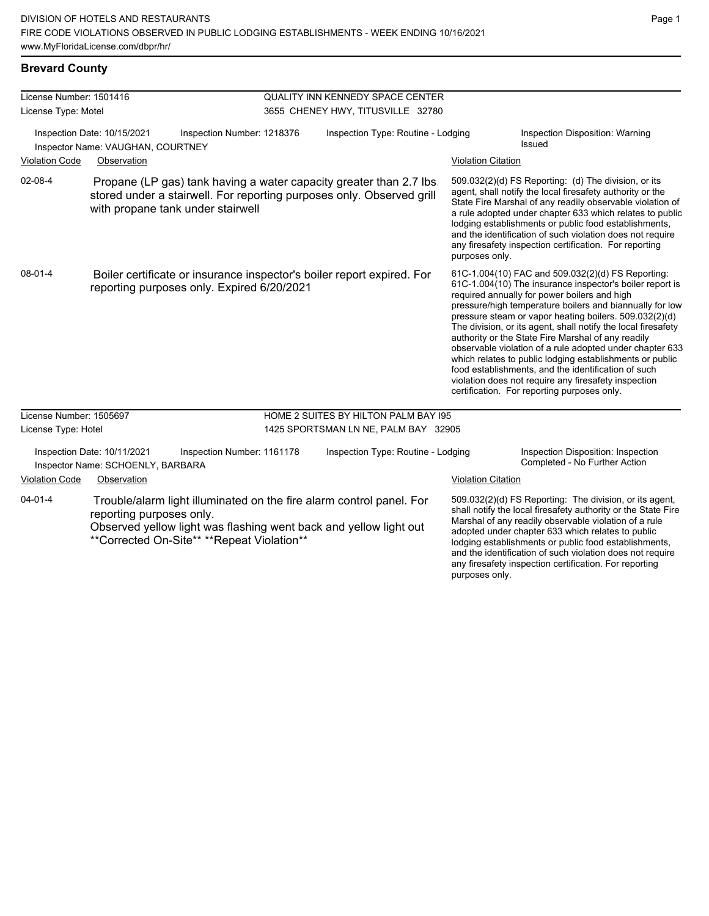any firesafety inspection certification. For reporting

purposes only.

#### **Brevard County**

| License Number: 1501416              |                                                                                                                      |                                            | QUALITY INN KENNEDY SPACE CENTER   |                                                                                                                                              |                                                                                                                                                                                                                                                                                                                                                                                                                                                                                                                                                                                                                                                                                                  |                                                                                                                                                                                                                                                                                                                                                                                                                            |  |
|--------------------------------------|----------------------------------------------------------------------------------------------------------------------|--------------------------------------------|------------------------------------|----------------------------------------------------------------------------------------------------------------------------------------------|--------------------------------------------------------------------------------------------------------------------------------------------------------------------------------------------------------------------------------------------------------------------------------------------------------------------------------------------------------------------------------------------------------------------------------------------------------------------------------------------------------------------------------------------------------------------------------------------------------------------------------------------------------------------------------------------------|----------------------------------------------------------------------------------------------------------------------------------------------------------------------------------------------------------------------------------------------------------------------------------------------------------------------------------------------------------------------------------------------------------------------------|--|
| License Type: Motel                  |                                                                                                                      |                                            | 3655 CHENEY HWY, TITUSVILLE 32780  |                                                                                                                                              |                                                                                                                                                                                                                                                                                                                                                                                                                                                                                                                                                                                                                                                                                                  |                                                                                                                                                                                                                                                                                                                                                                                                                            |  |
|                                      | Inspection Date: 10/15/2021<br>Inspector Name: VAUGHAN, COURTNEY                                                     | Inspection Number: 1218376                 | Inspection Type: Routine - Lodging |                                                                                                                                              |                                                                                                                                                                                                                                                                                                                                                                                                                                                                                                                                                                                                                                                                                                  | Inspection Disposition: Warning<br><b>Issued</b>                                                                                                                                                                                                                                                                                                                                                                           |  |
| <b>Violation Code</b>                | Observation                                                                                                          |                                            |                                    |                                                                                                                                              | <b>Violation Citation</b>                                                                                                                                                                                                                                                                                                                                                                                                                                                                                                                                                                                                                                                                        |                                                                                                                                                                                                                                                                                                                                                                                                                            |  |
| 02-08-4                              |                                                                                                                      | with propane tank under stairwell          |                                    | Propane (LP gas) tank having a water capacity greater than 2.7 lbs.<br>stored under a stairwell. For reporting purposes only. Observed grill | purposes only.                                                                                                                                                                                                                                                                                                                                                                                                                                                                                                                                                                                                                                                                                   | 509.032(2)(d) FS Reporting: (d) The division, or its<br>agent, shall notify the local firesafety authority or the<br>State Fire Marshal of any readily observable violation of<br>a rule adopted under chapter 633 which relates to public<br>lodging establishments or public food establishments,<br>and the identification of such violation does not require<br>any firesafety inspection certification. For reporting |  |
| 08-01-4                              | Boiler certificate or insurance inspector's boiler report expired. For<br>reporting purposes only. Expired 6/20/2021 |                                            |                                    |                                                                                                                                              | 61C-1.004(10) FAC and 509.032(2)(d) FS Reporting:<br>61C-1.004(10) The insurance inspector's boiler report is<br>required annually for power boilers and high<br>pressure/high temperature boilers and biannually for low<br>pressure steam or vapor heating boilers. 509.032(2)(d)<br>The division, or its agent, shall notify the local firesafety<br>authority or the State Fire Marshal of any readily<br>observable violation of a rule adopted under chapter 633<br>which relates to public lodging establishments or public<br>food establishments, and the identification of such<br>violation does not require any firesafety inspection<br>certification. For reporting purposes only. |                                                                                                                                                                                                                                                                                                                                                                                                                            |  |
| License Number: 1505697              |                                                                                                                      |                                            |                                    | HOME 2 SUITES BY HILTON PALM BAY 195                                                                                                         |                                                                                                                                                                                                                                                                                                                                                                                                                                                                                                                                                                                                                                                                                                  |                                                                                                                                                                                                                                                                                                                                                                                                                            |  |
| License Type: Hotel                  |                                                                                                                      |                                            |                                    | 1425 SPORTSMAN LN NE, PALM BAY 32905                                                                                                         |                                                                                                                                                                                                                                                                                                                                                                                                                                                                                                                                                                                                                                                                                                  |                                                                                                                                                                                                                                                                                                                                                                                                                            |  |
|                                      | Inspection Date: 10/11/2021<br>Inspector Name: SCHOENLY, BARBARA                                                     | Inspection Number: 1161178                 |                                    | Inspection Type: Routine - Lodging                                                                                                           |                                                                                                                                                                                                                                                                                                                                                                                                                                                                                                                                                                                                                                                                                                  | Inspection Disposition: Inspection<br>Completed - No Further Action                                                                                                                                                                                                                                                                                                                                                        |  |
| <b>Violation Code</b><br>Observation |                                                                                                                      |                                            |                                    | <b>Violation Citation</b>                                                                                                                    |                                                                                                                                                                                                                                                                                                                                                                                                                                                                                                                                                                                                                                                                                                  |                                                                                                                                                                                                                                                                                                                                                                                                                            |  |
| $04 - 01 - 4$                        | reporting purposes only.                                                                                             | **Corrected On-Site** **Repeat Violation** |                                    | Trouble/alarm light illuminated on the fire alarm control panel. For<br>Observed yellow light was flashing went back and yellow light out    |                                                                                                                                                                                                                                                                                                                                                                                                                                                                                                                                                                                                                                                                                                  | 509.032(2)(d) FS Reporting: The division, or its agent,<br>shall notify the local firesafety authority or the State Fire<br>Marshal of any readily observable violation of a rule<br>adopted under chapter 633 which relates to public<br>lodging establishments or public food establishments,<br>and the identification of such violation does not require                                                               |  |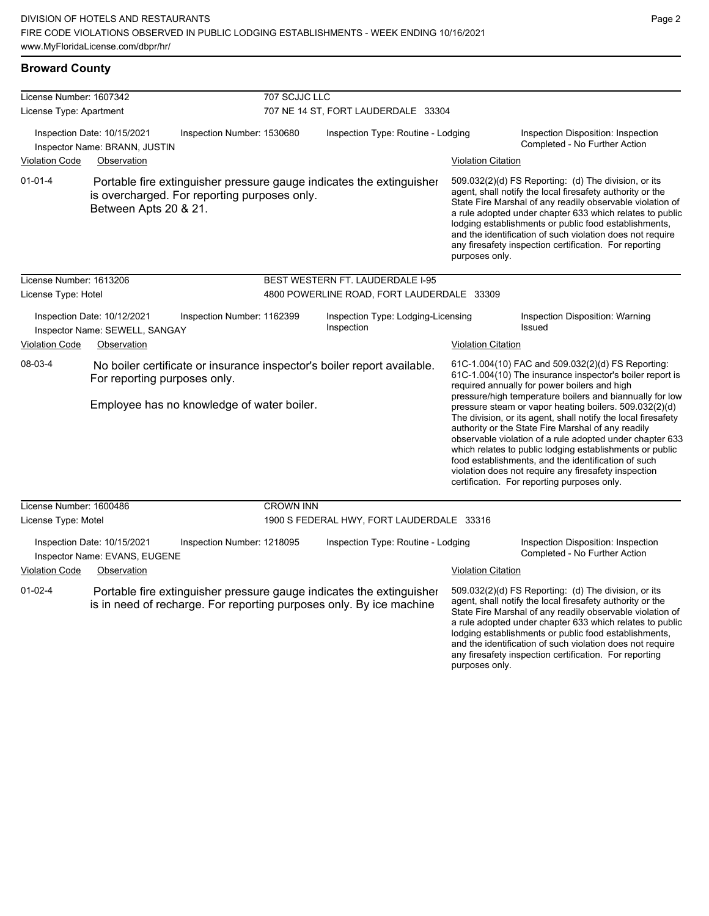| License Number: 1607342                                       |                                                                             |                            | 707 SCJJC LLC                       |                                                                                                                                             |                           |                                                                                                                                                                                                                                                                                                                                                                                                                                                                                                                                                                                                                                                                                                  |  |  |
|---------------------------------------------------------------|-----------------------------------------------------------------------------|----------------------------|-------------------------------------|---------------------------------------------------------------------------------------------------------------------------------------------|---------------------------|--------------------------------------------------------------------------------------------------------------------------------------------------------------------------------------------------------------------------------------------------------------------------------------------------------------------------------------------------------------------------------------------------------------------------------------------------------------------------------------------------------------------------------------------------------------------------------------------------------------------------------------------------------------------------------------------------|--|--|
| License Type: Apartment                                       |                                                                             |                            | 707 NE 14 ST, FORT LAUDERDALE 33304 |                                                                                                                                             |                           |                                                                                                                                                                                                                                                                                                                                                                                                                                                                                                                                                                                                                                                                                                  |  |  |
| <b>Violation Code</b>                                         | Inspection Date: 10/15/2021<br>Inspector Name: BRANN, JUSTIN<br>Observation | Inspection Number: 1530680 | Inspection Type: Routine - Lodging  |                                                                                                                                             | <b>Violation Citation</b> | Inspection Disposition: Inspection<br>Completed - No Further Action                                                                                                                                                                                                                                                                                                                                                                                                                                                                                                                                                                                                                              |  |  |
| $01 - 01 - 4$                                                 | is overcharged. For reporting purposes only.<br>Between Apts 20 & 21.       |                            |                                     | Portable fire extinguisher pressure gauge indicates the extinguisher                                                                        | purposes only.            | 509.032(2)(d) FS Reporting: (d) The division, or its<br>agent, shall notify the local firesafety authority or the<br>State Fire Marshal of any readily observable violation of<br>a rule adopted under chapter 633 which relates to public<br>lodging establishments or public food establishments,<br>and the identification of such violation does not require<br>any firesafety inspection certification. For reporting                                                                                                                                                                                                                                                                       |  |  |
| License Number: 1613206                                       |                                                                             |                            |                                     | BEST WESTERN FT. LAUDERDALE I-95                                                                                                            |                           |                                                                                                                                                                                                                                                                                                                                                                                                                                                                                                                                                                                                                                                                                                  |  |  |
| License Type: Hotel                                           |                                                                             |                            |                                     | 4800 POWERLINE ROAD, FORT LAUDERDALE 33309                                                                                                  |                           |                                                                                                                                                                                                                                                                                                                                                                                                                                                                                                                                                                                                                                                                                                  |  |  |
| Inspection Date: 10/12/2021<br>Inspector Name: SEWELL, SANGAY |                                                                             | Inspection Number: 1162399 |                                     | Inspection Type: Lodging-Licensing<br>Inspection<br>Issued                                                                                  |                           | <b>Inspection Disposition: Warning</b>                                                                                                                                                                                                                                                                                                                                                                                                                                                                                                                                                                                                                                                           |  |  |
| <b>Violation Code</b>                                         | Observation                                                                 |                            |                                     |                                                                                                                                             | <b>Violation Citation</b> |                                                                                                                                                                                                                                                                                                                                                                                                                                                                                                                                                                                                                                                                                                  |  |  |
| 08-03-4                                                       | For reporting purposes only.<br>Employee has no knowledge of water boiler.  |                            |                                     | No boiler certificate or insurance inspector's boiler report available.                                                                     |                           | 61C-1.004(10) FAC and 509.032(2)(d) FS Reporting:<br>61C-1.004(10) The insurance inspector's boiler report is<br>required annually for power boilers and high<br>pressure/high temperature boilers and biannually for low<br>pressure steam or vapor heating boilers. 509.032(2)(d)<br>The division, or its agent, shall notify the local firesafety<br>authority or the State Fire Marshal of any readily<br>observable violation of a rule adopted under chapter 633<br>which relates to public lodging establishments or public<br>food establishments, and the identification of such<br>violation does not require any firesafety inspection<br>certification. For reporting purposes only. |  |  |
| License Number: 1600486                                       |                                                                             |                            | <b>CROWN INN</b>                    |                                                                                                                                             |                           |                                                                                                                                                                                                                                                                                                                                                                                                                                                                                                                                                                                                                                                                                                  |  |  |
| License Type: Motel                                           |                                                                             |                            |                                     | 1900 S FEDERAL HWY, FORT LAUDERDALE 33316                                                                                                   |                           |                                                                                                                                                                                                                                                                                                                                                                                                                                                                                                                                                                                                                                                                                                  |  |  |
|                                                               | Inspection Date: 10/15/2021<br>Inspector Name: EVANS, EUGENE                | Inspection Number: 1218095 |                                     | Inspection Type: Routine - Lodging                                                                                                          |                           | Inspection Disposition: Inspection<br>Completed - No Further Action                                                                                                                                                                                                                                                                                                                                                                                                                                                                                                                                                                                                                              |  |  |
| <b>Violation Code</b>                                         | Observation                                                                 |                            |                                     |                                                                                                                                             | <b>Violation Citation</b> |                                                                                                                                                                                                                                                                                                                                                                                                                                                                                                                                                                                                                                                                                                  |  |  |
| $01-02-4$                                                     |                                                                             |                            |                                     | Portable fire extinguisher pressure gauge indicates the extinguisher<br>is in need of recharge. For reporting purposes only. By ice machine | purposes only.            | 509.032(2)(d) FS Reporting: (d) The division, or its<br>agent, shall notify the local firesafety authority or the<br>State Fire Marshal of any readily observable violation of<br>a rule adopted under chapter 633 which relates to public<br>lodging establishments or public food establishments,<br>and the identification of such violation does not require<br>any firesafety inspection certification. For reporting                                                                                                                                                                                                                                                                       |  |  |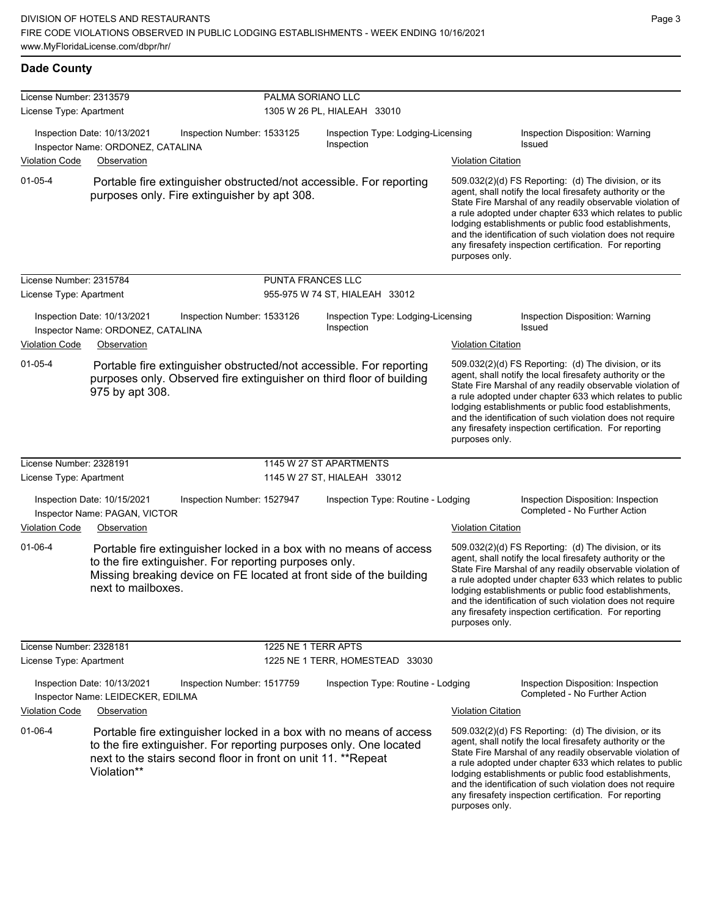## **Dade County**

| License Number: 2313579 |                                                                                                                                                                                                                           | PALMA SORIANO LLC   |                                                  |                                                                                                                                                                                                                                                                                                                                                                                                                                              |
|-------------------------|---------------------------------------------------------------------------------------------------------------------------------------------------------------------------------------------------------------------------|---------------------|--------------------------------------------------|----------------------------------------------------------------------------------------------------------------------------------------------------------------------------------------------------------------------------------------------------------------------------------------------------------------------------------------------------------------------------------------------------------------------------------------------|
| License Type: Apartment |                                                                                                                                                                                                                           |                     | 1305 W 26 PL, HIALEAH 33010                      |                                                                                                                                                                                                                                                                                                                                                                                                                                              |
|                         | Inspection Date: 10/13/2021<br>Inspection Number: 1533125<br>Inspector Name: ORDONEZ, CATALINA                                                                                                                            |                     | Inspection Type: Lodging-Licensing<br>Inspection | Inspection Disposition: Warning<br>Issued                                                                                                                                                                                                                                                                                                                                                                                                    |
| <b>Violation Code</b>   | Observation                                                                                                                                                                                                               |                     |                                                  | <b>Violation Citation</b>                                                                                                                                                                                                                                                                                                                                                                                                                    |
| $01 - 05 - 4$           | Portable fire extinguisher obstructed/not accessible. For reporting<br>purposes only. Fire extinguisher by apt 308.                                                                                                       |                     |                                                  | 509.032(2)(d) FS Reporting: (d) The division, or its<br>agent, shall notify the local firesafety authority or the<br>State Fire Marshal of any readily observable violation of<br>a rule adopted under chapter 633 which relates to public<br>lodging establishments or public food establishments,<br>and the identification of such violation does not require<br>any firesafety inspection certification. For reporting<br>purposes only. |
| License Number: 2315784 |                                                                                                                                                                                                                           | PUNTA FRANCES LLC   |                                                  |                                                                                                                                                                                                                                                                                                                                                                                                                                              |
| License Type: Apartment |                                                                                                                                                                                                                           |                     | 955-975 W 74 ST, HIALEAH 33012                   |                                                                                                                                                                                                                                                                                                                                                                                                                                              |
|                         | Inspection Date: 10/13/2021<br>Inspection Number: 1533126<br>Inspector Name: ORDONEZ, CATALINA                                                                                                                            |                     | Inspection Type: Lodging-Licensing<br>Inspection | Inspection Disposition: Warning<br><b>Issued</b>                                                                                                                                                                                                                                                                                                                                                                                             |
| <b>Violation Code</b>   | Observation                                                                                                                                                                                                               |                     |                                                  | <b>Violation Citation</b>                                                                                                                                                                                                                                                                                                                                                                                                                    |
| $01 - 05 - 4$           | Portable fire extinguisher obstructed/not accessible. For reporting<br>purposes only. Observed fire extinguisher on third floor of building<br>975 by apt 308.                                                            |                     |                                                  | 509.032(2)(d) FS Reporting: (d) The division, or its<br>agent, shall notify the local firesafety authority or the<br>State Fire Marshal of any readily observable violation of<br>a rule adopted under chapter 633 which relates to public<br>lodging establishments or public food establishments,<br>and the identification of such violation does not require<br>any firesafety inspection certification. For reporting<br>purposes only. |
| License Number: 2328191 |                                                                                                                                                                                                                           |                     | 1145 W 27 ST APARTMENTS                          |                                                                                                                                                                                                                                                                                                                                                                                                                                              |
| License Type: Apartment |                                                                                                                                                                                                                           |                     | 1145 W 27 ST, HIALEAH 33012                      |                                                                                                                                                                                                                                                                                                                                                                                                                                              |
|                         | Inspection Date: 10/15/2021<br>Inspection Number: 1527947<br>Inspector Name: PAGAN, VICTOR                                                                                                                                |                     | Inspection Type: Routine - Lodging               | Inspection Disposition: Inspection<br>Completed - No Further Action                                                                                                                                                                                                                                                                                                                                                                          |
| <b>Violation Code</b>   | Observation                                                                                                                                                                                                               |                     |                                                  | <b>Violation Citation</b>                                                                                                                                                                                                                                                                                                                                                                                                                    |
| $01 - 06 - 4$           | Portable fire extinguisher locked in a box with no means of access<br>to the fire extinguisher. For reporting purposes only.<br>Missing breaking device on FE located at front side of the building<br>next to mailboxes. |                     |                                                  | 509.032(2)(d) FS Reporting: (d) The division, or its<br>agent, shall notify the local firesafety authority or the<br>State Fire Marshal of any readily observable violation of<br>a rule adopted under chapter 633 which relates to public<br>lodging establishments or public food establishments,<br>and the identification of such violation does not require<br>any firesafety inspection certification. For reporting<br>purposes only. |
| License Number: 2328181 |                                                                                                                                                                                                                           | 1225 NE 1 TERR APTS |                                                  |                                                                                                                                                                                                                                                                                                                                                                                                                                              |
| License Type: Apartment |                                                                                                                                                                                                                           |                     | 1225 NE 1 TERR, HOMESTEAD 33030                  |                                                                                                                                                                                                                                                                                                                                                                                                                                              |
|                         | Inspection Date: 10/13/2021<br>Inspection Number: 1517759<br>Inspector Name: LEIDECKER, EDILMA                                                                                                                            |                     | Inspection Type: Routine - Lodging               | Inspection Disposition: Inspection<br>Completed - No Further Action                                                                                                                                                                                                                                                                                                                                                                          |
| <b>Violation Code</b>   | Observation                                                                                                                                                                                                               |                     |                                                  | <b>Violation Citation</b>                                                                                                                                                                                                                                                                                                                                                                                                                    |
| $01 - 06 - 4$           | Portable fire extinguisher locked in a box with no means of access<br>to the fire extinguisher. For reporting purposes only. One located<br>next to the stairs second floor in front on unit 11. **Repeat<br>Violation**  |                     |                                                  | 509.032(2)(d) FS Reporting: (d) The division, or its<br>agent, shall notify the local firesafety authority or the<br>State Fire Marshal of any readily observable violation of<br>a rule adopted under chapter 633 which relates to public<br>lodging establishments or public food establishments,<br>and the identification of such violation does not require<br>any firesafety inspection certification. For reporting<br>purposes only. |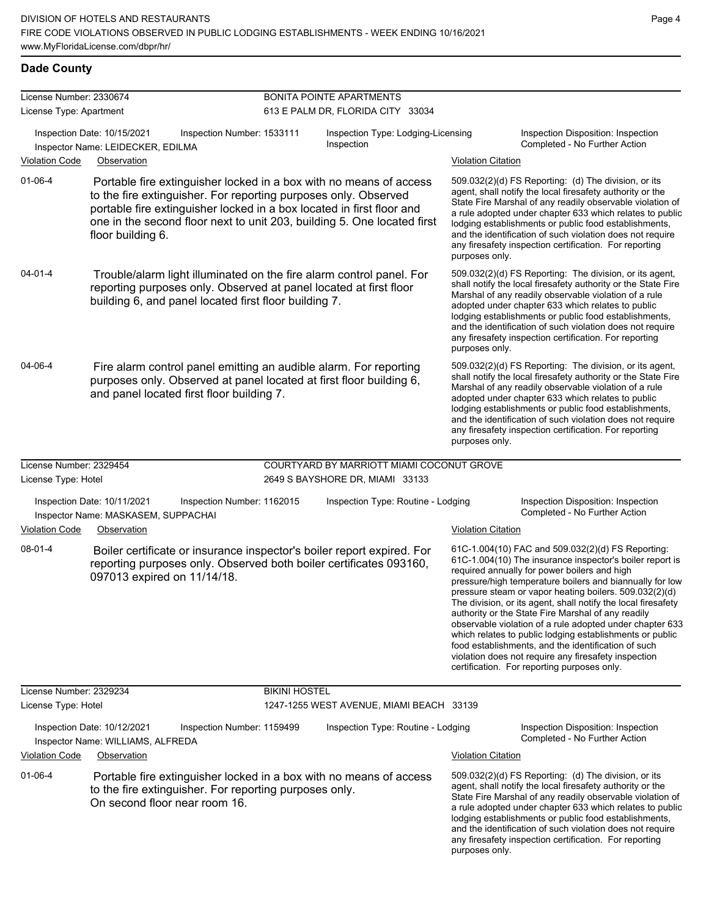### **Dade County**

| License Number: 2330674<br>License Type: Apartment                                                                                                                       |                                                                                                                                                                                                                                                                                                                | <b>BONITA POINTE APARTMENTS</b><br>613 E PALM DR, FLORIDA CITY 33034 |                                                  |                                                                     |                                                                                                                                                                                                                                                                                                                                                                                                                                                                                                                                                                                                                                                                                                  |  |
|--------------------------------------------------------------------------------------------------------------------------------------------------------------------------|----------------------------------------------------------------------------------------------------------------------------------------------------------------------------------------------------------------------------------------------------------------------------------------------------------------|----------------------------------------------------------------------|--------------------------------------------------|---------------------------------------------------------------------|--------------------------------------------------------------------------------------------------------------------------------------------------------------------------------------------------------------------------------------------------------------------------------------------------------------------------------------------------------------------------------------------------------------------------------------------------------------------------------------------------------------------------------------------------------------------------------------------------------------------------------------------------------------------------------------------------|--|
|                                                                                                                                                                          | Inspection Date: 10/15/2021<br>Inspection Number: 1533111<br>Inspector Name: LEIDECKER, EDILMA                                                                                                                                                                                                                 |                                                                      | Inspection Type: Lodging-Licensing<br>Inspection | Inspection Disposition: Inspection<br>Completed - No Further Action |                                                                                                                                                                                                                                                                                                                                                                                                                                                                                                                                                                                                                                                                                                  |  |
| <b>Violation Code</b>                                                                                                                                                    | Observation                                                                                                                                                                                                                                                                                                    |                                                                      |                                                  | <b>Violation Citation</b>                                           |                                                                                                                                                                                                                                                                                                                                                                                                                                                                                                                                                                                                                                                                                                  |  |
| $01 - 06 - 4$                                                                                                                                                            | Portable fire extinguisher locked in a box with no means of access<br>to the fire extinguisher. For reporting purposes only. Observed<br>portable fire extinguisher locked in a box located in first floor and<br>one in the second floor next to unit 203, building 5. One located first<br>floor building 6. |                                                                      |                                                  | purposes only.                                                      | 509.032(2)(d) FS Reporting: (d) The division, or its<br>agent, shall notify the local firesafety authority or the<br>State Fire Marshal of any readily observable violation of<br>a rule adopted under chapter 633 which relates to public<br>lodging establishments or public food establishments,<br>and the identification of such violation does not require<br>any firesafety inspection certification. For reporting                                                                                                                                                                                                                                                                       |  |
| $04 - 01 - 4$                                                                                                                                                            | Trouble/alarm light illuminated on the fire alarm control panel. For<br>reporting purposes only. Observed at panel located at first floor<br>building 6, and panel located first floor building 7.                                                                                                             |                                                                      |                                                  | purposes only.                                                      | 509.032(2)(d) FS Reporting: The division, or its agent,<br>shall notify the local firesafety authority or the State Fire<br>Marshal of any readily observable violation of a rule<br>adopted under chapter 633 which relates to public<br>lodging establishments or public food establishments,<br>and the identification of such violation does not require<br>any firesafety inspection certification. For reporting                                                                                                                                                                                                                                                                           |  |
| 04-06-4                                                                                                                                                                  | Fire alarm control panel emitting an audible alarm. For reporting<br>purposes only. Observed at panel located at first floor building 6,<br>and panel located first floor building 7.                                                                                                                          |                                                                      |                                                  | purposes only.                                                      | 509.032(2)(d) FS Reporting: The division, or its agent,<br>shall notify the local firesafety authority or the State Fire<br>Marshal of any readily observable violation of a rule<br>adopted under chapter 633 which relates to public<br>lodging establishments or public food establishments,<br>and the identification of such violation does not require<br>any firesafety inspection certification. For reporting                                                                                                                                                                                                                                                                           |  |
| License Number: 2329454                                                                                                                                                  |                                                                                                                                                                                                                                                                                                                |                                                                      | COURTYARD BY MARRIOTT MIAMI COCONUT GROVE        |                                                                     |                                                                                                                                                                                                                                                                                                                                                                                                                                                                                                                                                                                                                                                                                                  |  |
| License Type: Hotel                                                                                                                                                      |                                                                                                                                                                                                                                                                                                                |                                                                      | 2649 S BAYSHORE DR, MIAMI 33133                  |                                                                     |                                                                                                                                                                                                                                                                                                                                                                                                                                                                                                                                                                                                                                                                                                  |  |
|                                                                                                                                                                          | Inspection Date: 10/11/2021<br>Inspection Number: 1162015<br>Inspector Name: MASKASEM, SUPPACHAI                                                                                                                                                                                                               |                                                                      | Inspection Type: Routine - Lodging               |                                                                     | Inspection Disposition: Inspection<br>Completed - No Further Action                                                                                                                                                                                                                                                                                                                                                                                                                                                                                                                                                                                                                              |  |
| <b>Violation Code</b>                                                                                                                                                    | Observation                                                                                                                                                                                                                                                                                                    |                                                                      |                                                  | <b>Violation Citation</b>                                           |                                                                                                                                                                                                                                                                                                                                                                                                                                                                                                                                                                                                                                                                                                  |  |
| 08-01-4                                                                                                                                                                  | Boiler certificate or insurance inspector's boiler report expired. For<br>reporting purposes only. Observed both boiler certificates 093160,<br>097013 expired on 11/14/18.                                                                                                                                    |                                                                      |                                                  |                                                                     | 61C-1.004(10) FAC and 509.032(2)(d) FS Reporting:<br>61C-1.004(10) The insurance inspector's boiler report is<br>required annually for power boilers and high<br>pressure/high temperature boilers and biannually for low<br>pressure steam or vapor heating boilers. 509.032(2)(d)<br>The division, or its agent, shall notify the local firesafety<br>authority or the State Fire Marshal of any readily<br>observable violation of a rule adopted under chapter 633<br>which relates to public lodging establishments or public<br>food establishments, and the identification of such<br>violation does not require any firesafety inspection<br>certification. For reporting purposes only. |  |
| License Number: 2329234                                                                                                                                                  |                                                                                                                                                                                                                                                                                                                | <b>BIKINI HOSTEL</b>                                                 |                                                  |                                                                     |                                                                                                                                                                                                                                                                                                                                                                                                                                                                                                                                                                                                                                                                                                  |  |
| License Type: Hotel                                                                                                                                                      |                                                                                                                                                                                                                                                                                                                |                                                                      | 1247-1255 WEST AVENUE, MIAMI BEACH 33139         |                                                                     |                                                                                                                                                                                                                                                                                                                                                                                                                                                                                                                                                                                                                                                                                                  |  |
|                                                                                                                                                                          | Inspection Date: 10/12/2021<br>Inspection Number: 1159499<br>Inspector Name: WILLIAMS, ALFREDA                                                                                                                                                                                                                 |                                                                      | Inspection Type: Routine - Lodging               |                                                                     | Inspection Disposition: Inspection<br>Completed - No Further Action                                                                                                                                                                                                                                                                                                                                                                                                                                                                                                                                                                                                                              |  |
| <b>Violation Code</b>                                                                                                                                                    | Observation                                                                                                                                                                                                                                                                                                    |                                                                      |                                                  | <b>Violation Citation</b>                                           |                                                                                                                                                                                                                                                                                                                                                                                                                                                                                                                                                                                                                                                                                                  |  |
| 01-06-4<br>Portable fire extinguisher locked in a box with no means of access<br>to the fire extinguisher. For reporting purposes only.<br>On second floor near room 16. |                                                                                                                                                                                                                                                                                                                |                                                                      |                                                  | purposes only.                                                      | 509.032(2)(d) FS Reporting: (d) The division, or its<br>agent, shall notify the local firesafety authority or the<br>State Fire Marshal of any readily observable violation of<br>a rule adopted under chapter 633 which relates to public<br>lodging establishments or public food establishments,<br>and the identification of such violation does not require<br>any firesafety inspection certification. For reporting                                                                                                                                                                                                                                                                       |  |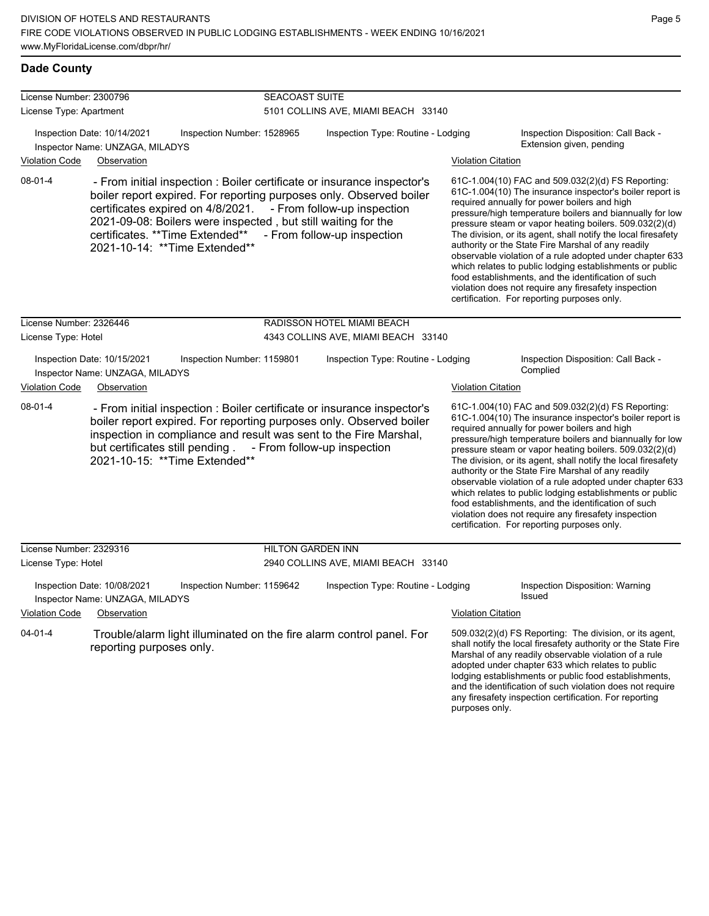| License Number: 2300796 |                                                                                                                                                                                                                                                                                                                            | <b>SEACOAST SUITE</b>    |                                                            |                           |                                                                                                                                                                                                                                                                                                                                                                                                                                                                                                                                                                                                                                                                                                  |  |  |
|-------------------------|----------------------------------------------------------------------------------------------------------------------------------------------------------------------------------------------------------------------------------------------------------------------------------------------------------------------------|--------------------------|------------------------------------------------------------|---------------------------|--------------------------------------------------------------------------------------------------------------------------------------------------------------------------------------------------------------------------------------------------------------------------------------------------------------------------------------------------------------------------------------------------------------------------------------------------------------------------------------------------------------------------------------------------------------------------------------------------------------------------------------------------------------------------------------------------|--|--|
| License Type: Apartment |                                                                                                                                                                                                                                                                                                                            |                          | 5101 COLLINS AVE, MIAMI BEACH 33140                        |                           |                                                                                                                                                                                                                                                                                                                                                                                                                                                                                                                                                                                                                                                                                                  |  |  |
|                         | Inspection Date: 10/14/2021<br>Inspection Number: 1528965<br>Inspector Name: UNZAGA, MILADYS                                                                                                                                                                                                                               |                          | Inspection Type: Routine - Lodging                         |                           | Inspection Disposition: Call Back -<br>Extension given, pending                                                                                                                                                                                                                                                                                                                                                                                                                                                                                                                                                                                                                                  |  |  |
| <b>Violation Code</b>   | Observation                                                                                                                                                                                                                                                                                                                |                          |                                                            | <b>Violation Citation</b> |                                                                                                                                                                                                                                                                                                                                                                                                                                                                                                                                                                                                                                                                                                  |  |  |
| 08-01-4                 | - From initial inspection : Boiler certificate or insurance inspector's<br>boiler report expired. For reporting purposes only. Observed boiler<br>certificates expired on 4/8/2021.<br>2021-09-08: Boilers were inspected, but still waiting for the<br>certificates. ** Time Extended**<br>2021-10-14: ** Time Extended** |                          | - From follow-up inspection<br>- From follow-up inspection |                           | 61C-1.004(10) FAC and 509.032(2)(d) FS Reporting:<br>61C-1.004(10) The insurance inspector's boiler report is<br>required annually for power boilers and high<br>pressure/high temperature boilers and biannually for low<br>pressure steam or vapor heating boilers. 509.032(2)(d)<br>The division, or its agent, shall notify the local firesafety<br>authority or the State Fire Marshal of any readily<br>observable violation of a rule adopted under chapter 633<br>which relates to public lodging establishments or public<br>food establishments, and the identification of such<br>violation does not require any firesafety inspection<br>certification. For reporting purposes only. |  |  |
| License Number: 2326446 |                                                                                                                                                                                                                                                                                                                            |                          | RADISSON HOTEL MIAMI BEACH                                 |                           |                                                                                                                                                                                                                                                                                                                                                                                                                                                                                                                                                                                                                                                                                                  |  |  |
| License Type: Hotel     |                                                                                                                                                                                                                                                                                                                            |                          | 4343 COLLINS AVE, MIAMI BEACH 33140                        |                           |                                                                                                                                                                                                                                                                                                                                                                                                                                                                                                                                                                                                                                                                                                  |  |  |
| <b>Violation Code</b>   | Inspection Date: 10/15/2021<br>Inspection Number: 1159801<br>Inspector Name: UNZAGA, MILADYS<br>Observation                                                                                                                                                                                                                |                          | Inspection Type: Routine - Lodging                         | <b>Violation Citation</b> | Inspection Disposition: Call Back -<br>Complied                                                                                                                                                                                                                                                                                                                                                                                                                                                                                                                                                                                                                                                  |  |  |
| 08-01-4                 | - From initial inspection : Boiler certificate or insurance inspector's<br>boiler report expired. For reporting purposes only. Observed boiler<br>inspection in compliance and result was sent to the Fire Marshal,<br>but certificates still pending . - From follow-up inspection<br>2021-10-15: ** Time Extended**      |                          |                                                            |                           | 61C-1.004(10) FAC and 509.032(2)(d) FS Reporting:<br>61C-1.004(10) The insurance inspector's boiler report is<br>required annually for power boilers and high<br>pressure/high temperature boilers and biannually for low<br>pressure steam or vapor heating boilers. 509.032(2)(d)<br>The division, or its agent, shall notify the local firesafety<br>authority or the State Fire Marshal of any readily<br>observable violation of a rule adopted under chapter 633<br>which relates to public lodging establishments or public<br>food establishments, and the identification of such<br>violation does not require any firesafety inspection<br>certification. For reporting purposes only. |  |  |
| License Number: 2329316 |                                                                                                                                                                                                                                                                                                                            | <b>HILTON GARDEN INN</b> |                                                            |                           |                                                                                                                                                                                                                                                                                                                                                                                                                                                                                                                                                                                                                                                                                                  |  |  |
| License Type: Hotel     |                                                                                                                                                                                                                                                                                                                            |                          | 2940 COLLINS AVE, MIAMI BEACH 33140                        |                           |                                                                                                                                                                                                                                                                                                                                                                                                                                                                                                                                                                                                                                                                                                  |  |  |
|                         | Inspection Date: 10/08/2021<br>Inspection Number: 1159642<br>Inspector Name: UNZAGA, MILADYS                                                                                                                                                                                                                               |                          | Inspection Type: Routine - Lodging                         |                           | Inspection Disposition: Warning<br>Issued                                                                                                                                                                                                                                                                                                                                                                                                                                                                                                                                                                                                                                                        |  |  |
| <b>Violation Code</b>   | Observation                                                                                                                                                                                                                                                                                                                |                          |                                                            | <b>Violation Citation</b> |                                                                                                                                                                                                                                                                                                                                                                                                                                                                                                                                                                                                                                                                                                  |  |  |
| $04 - 01 - 4$           | Trouble/alarm light illuminated on the fire alarm control panel. For<br>reporting purposes only.                                                                                                                                                                                                                           |                          |                                                            |                           | 509.032(2)(d) FS Reporting: The division, or its agent,<br>shall notify the local firesafety authority or the State Fire<br>Marshal of any readily observable violation of a rule<br>adopted under chapter 633 which relates to public<br>lodging establishments or public food establishments,                                                                                                                                                                                                                                                                                                                                                                                                  |  |  |

and the identification of such violation does not require any firesafety inspection certification. For reporting

purposes only.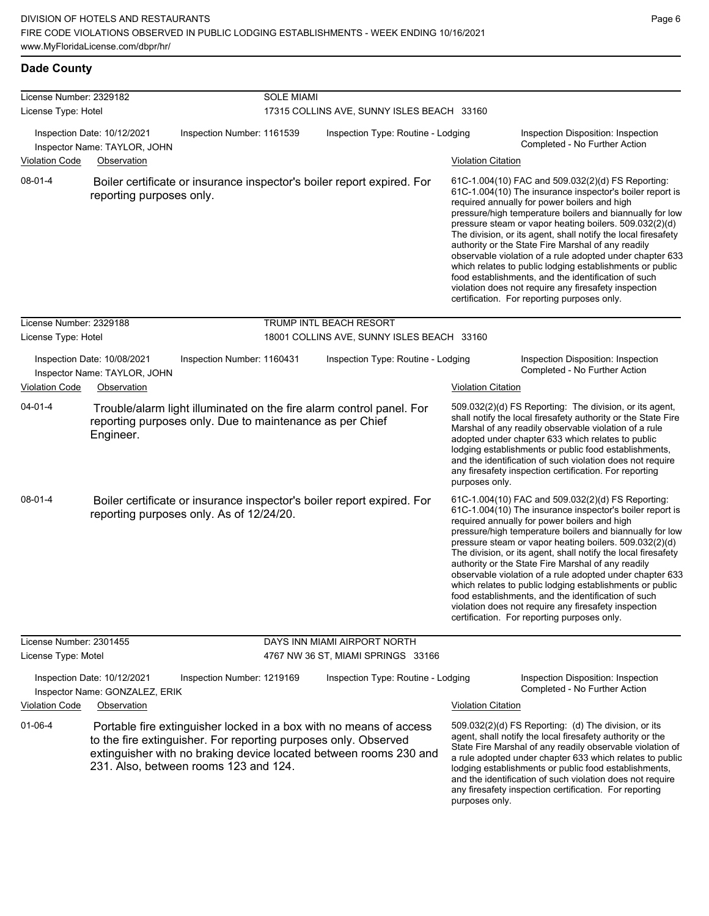### **Dade County**

| License Number: 2329182 |                                                                       |                            | <b>SOLE MIAMI</b> |                                                                                                                                                                                                            |                           |                                                                                                                                                                                                                                                                                                                                                                                                                                                                                                                                                                                                                                                                                                  |
|-------------------------|-----------------------------------------------------------------------|----------------------------|-------------------|------------------------------------------------------------------------------------------------------------------------------------------------------------------------------------------------------------|---------------------------|--------------------------------------------------------------------------------------------------------------------------------------------------------------------------------------------------------------------------------------------------------------------------------------------------------------------------------------------------------------------------------------------------------------------------------------------------------------------------------------------------------------------------------------------------------------------------------------------------------------------------------------------------------------------------------------------------|
| License Type: Hotel     |                                                                       |                            |                   | 17315 COLLINS AVE, SUNNY ISLES BEACH 33160                                                                                                                                                                 |                           |                                                                                                                                                                                                                                                                                                                                                                                                                                                                                                                                                                                                                                                                                                  |
|                         | Inspection Date: 10/12/2021<br>Inspector Name: TAYLOR, JOHN           | Inspection Number: 1161539 |                   | Inspection Type: Routine - Lodging                                                                                                                                                                         |                           | Inspection Disposition: Inspection<br>Completed - No Further Action                                                                                                                                                                                                                                                                                                                                                                                                                                                                                                                                                                                                                              |
| <b>Violation Code</b>   | Observation                                                           |                            |                   |                                                                                                                                                                                                            | <b>Violation Citation</b> |                                                                                                                                                                                                                                                                                                                                                                                                                                                                                                                                                                                                                                                                                                  |
| $08 - 01 - 4$           | reporting purposes only.                                              |                            |                   | Boiler certificate or insurance inspector's boiler report expired. For                                                                                                                                     |                           | 61C-1.004(10) FAC and 509.032(2)(d) FS Reporting:<br>61C-1.004(10) The insurance inspector's boiler report is<br>required annually for power boilers and high<br>pressure/high temperature boilers and biannually for low<br>pressure steam or vapor heating boilers. 509.032(2)(d)<br>The division, or its agent, shall notify the local firesafety<br>authority or the State Fire Marshal of any readily<br>observable violation of a rule adopted under chapter 633<br>which relates to public lodging establishments or public<br>food establishments, and the identification of such<br>violation does not require any firesafety inspection<br>certification. For reporting purposes only. |
| License Number: 2329188 |                                                                       |                            |                   | <b>TRUMP INTL BEACH RESORT</b>                                                                                                                                                                             |                           |                                                                                                                                                                                                                                                                                                                                                                                                                                                                                                                                                                                                                                                                                                  |
| License Type: Hotel     |                                                                       |                            |                   | 18001 COLLINS AVE, SUNNY ISLES BEACH 33160                                                                                                                                                                 |                           |                                                                                                                                                                                                                                                                                                                                                                                                                                                                                                                                                                                                                                                                                                  |
|                         | Inspection Date: 10/08/2021<br>Inspector Name: TAYLOR, JOHN           | Inspection Number: 1160431 |                   | Inspection Type: Routine - Lodging                                                                                                                                                                         |                           | Inspection Disposition: Inspection<br>Completed - No Further Action                                                                                                                                                                                                                                                                                                                                                                                                                                                                                                                                                                                                                              |
| <b>Violation Code</b>   | Observation                                                           |                            |                   |                                                                                                                                                                                                            | <b>Violation Citation</b> |                                                                                                                                                                                                                                                                                                                                                                                                                                                                                                                                                                                                                                                                                                  |
| $04 - 01 - 4$           | reporting purposes only. Due to maintenance as per Chief<br>Engineer. |                            |                   | Trouble/alarm light illuminated on the fire alarm control panel. For                                                                                                                                       | purposes only.            | 509.032(2)(d) FS Reporting: The division, or its agent,<br>shall notify the local firesafety authority or the State Fire<br>Marshal of any readily observable violation of a rule<br>adopted under chapter 633 which relates to public<br>lodging establishments or public food establishments,<br>and the identification of such violation does not require<br>any firesafety inspection certification. For reporting                                                                                                                                                                                                                                                                           |
| $08 - 01 - 4$           | reporting purposes only. As of 12/24/20.                              |                            |                   | Boiler certificate or insurance inspector's boiler report expired. For                                                                                                                                     |                           | 61C-1.004(10) FAC and 509.032(2)(d) FS Reporting:<br>61C-1.004(10) The insurance inspector's boiler report is<br>required annually for power boilers and high<br>pressure/high temperature boilers and biannually for low<br>pressure steam or vapor heating boilers. 509.032(2)(d)<br>The division, or its agent, shall notify the local firesafety<br>authority or the State Fire Marshal of any readily<br>observable violation of a rule adopted under chapter 633<br>which relates to public lodging establishments or public<br>food establishments, and the identification of such<br>violation does not require any firesafety inspection<br>certification. For reporting purposes only. |
| License Number: 2301455 |                                                                       |                            |                   | DAYS INN MIAMI AIRPORT NORTH                                                                                                                                                                               |                           |                                                                                                                                                                                                                                                                                                                                                                                                                                                                                                                                                                                                                                                                                                  |
| License Type: Motel     |                                                                       |                            |                   | 4767 NW 36 ST, MIAMI SPRINGS 33166                                                                                                                                                                         |                           |                                                                                                                                                                                                                                                                                                                                                                                                                                                                                                                                                                                                                                                                                                  |
|                         | Inspection Date: 10/12/2021<br>Inspector Name: GONZALEZ, ERIK         | Inspection Number: 1219169 |                   | Inspection Type: Routine - Lodging                                                                                                                                                                         |                           | Inspection Disposition: Inspection<br>Completed - No Further Action                                                                                                                                                                                                                                                                                                                                                                                                                                                                                                                                                                                                                              |
| <b>Violation Code</b>   | Observation                                                           |                            |                   |                                                                                                                                                                                                            | <b>Violation Citation</b> |                                                                                                                                                                                                                                                                                                                                                                                                                                                                                                                                                                                                                                                                                                  |
| 01-06-4                 |                                                                       |                            |                   | Portable fire extinguisher locked in a box with no means of access<br>to the fire extinguisher. For reporting purposes only. Observed<br>extinguisher with no braking device located between rooms 230 and |                           | 509.032(2)(d) FS Reporting: (d) The division, or its<br>agent, shall notify the local firesafety authority or the<br>State Fire Marshal of any readily observable violation of<br>a rule adopted under chapter 633 which relates to public                                                                                                                                                                                                                                                                                                                                                                                                                                                       |

231. Also, between rooms 123 and 124.

a rule adopted under chapter 633 which relates to public lodging establishments or public food establishments, and the identification of such violation does not require any firesafety inspection certification. For reporting purposes only.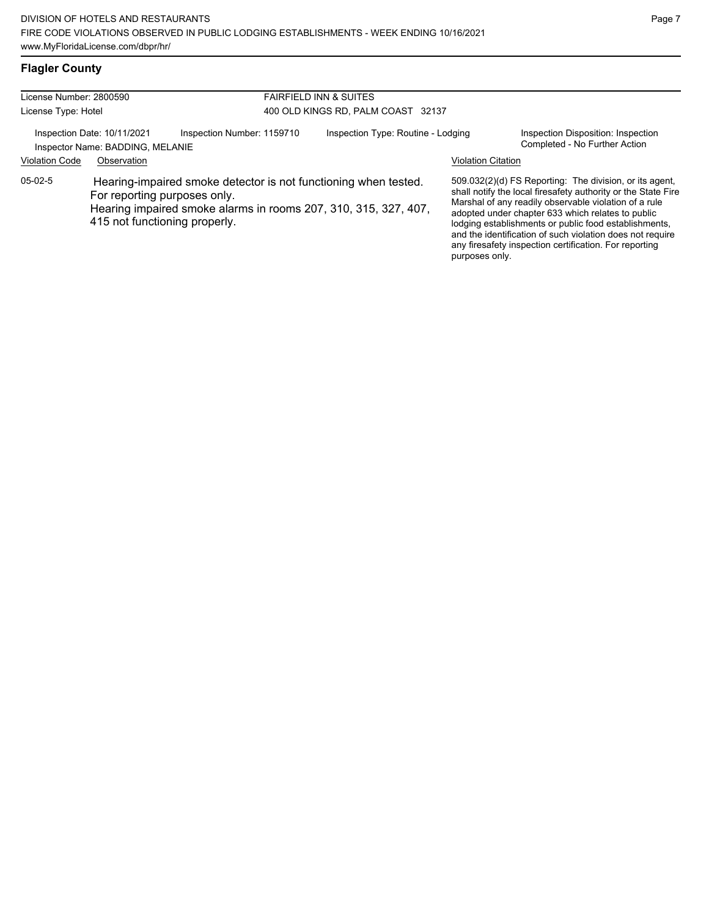# **Flagler County**

| License Number: 2800590 |                                                                                                                                                                                                     |                            | <b>FAIRFIELD INN &amp; SUITES</b>  |                                    |                           |                                                                                                                                                                                                                                                                                                                                                                                                                        |  |
|-------------------------|-----------------------------------------------------------------------------------------------------------------------------------------------------------------------------------------------------|----------------------------|------------------------------------|------------------------------------|---------------------------|------------------------------------------------------------------------------------------------------------------------------------------------------------------------------------------------------------------------------------------------------------------------------------------------------------------------------------------------------------------------------------------------------------------------|--|
| License Type: Hotel     |                                                                                                                                                                                                     |                            | 400 OLD KINGS RD, PALM COAST 32137 |                                    |                           |                                                                                                                                                                                                                                                                                                                                                                                                                        |  |
|                         | Inspection Date: 10/11/2021<br>Inspector Name: BADDING, MELANIE                                                                                                                                     | Inspection Number: 1159710 |                                    | Inspection Type: Routine - Lodging |                           | Inspection Disposition: Inspection<br>Completed - No Further Action                                                                                                                                                                                                                                                                                                                                                    |  |
| <b>Violation Code</b>   | Observation                                                                                                                                                                                         |                            |                                    |                                    | <b>Violation Citation</b> |                                                                                                                                                                                                                                                                                                                                                                                                                        |  |
| $05-02-5$               | Hearing-impaired smoke detector is not functioning when tested.<br>For reporting purposes only.<br>Hearing impaired smoke alarms in rooms 207, 310, 315, 327, 407,<br>415 not functioning properly. |                            |                                    |                                    | purposes only.            | 509.032(2)(d) FS Reporting: The division, or its agent,<br>shall notify the local firesafety authority or the State Fire<br>Marshal of any readily observable violation of a rule<br>adopted under chapter 633 which relates to public<br>lodging establishments or public food establishments,<br>and the identification of such violation does not require<br>any firesafety inspection certification. For reporting |  |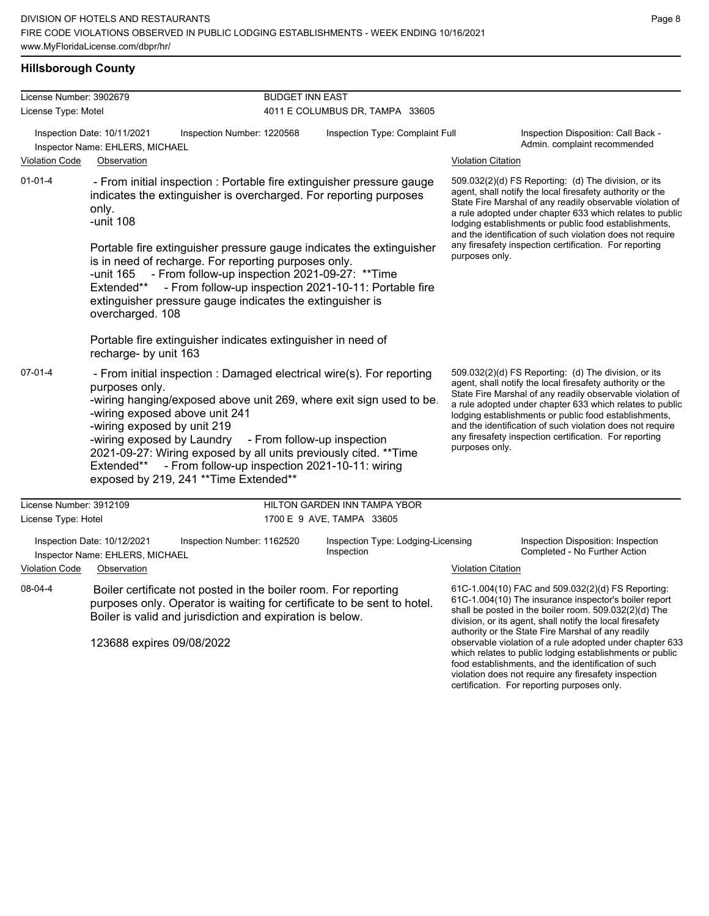#### **Hillsborough County**

| License Number: 3902679 |                                                                                                                                                                                                                                                                                                                                                      | <b>BUDGET INN EAST</b>                                                                                                                                                                                                                                                                                                                                                                                               |                                                                                                                                                                                                                                                                                                                                                                  |                                                  |                                                                                                                                                                                                                                                                                                                                                                                                                                              |                                                                     |  |
|-------------------------|------------------------------------------------------------------------------------------------------------------------------------------------------------------------------------------------------------------------------------------------------------------------------------------------------------------------------------------------------|----------------------------------------------------------------------------------------------------------------------------------------------------------------------------------------------------------------------------------------------------------------------------------------------------------------------------------------------------------------------------------------------------------------------|------------------------------------------------------------------------------------------------------------------------------------------------------------------------------------------------------------------------------------------------------------------------------------------------------------------------------------------------------------------|--------------------------------------------------|----------------------------------------------------------------------------------------------------------------------------------------------------------------------------------------------------------------------------------------------------------------------------------------------------------------------------------------------------------------------------------------------------------------------------------------------|---------------------------------------------------------------------|--|
| License Type: Motel     |                                                                                                                                                                                                                                                                                                                                                      |                                                                                                                                                                                                                                                                                                                                                                                                                      |                                                                                                                                                                                                                                                                                                                                                                  | 4011 E COLUMBUS DR, TAMPA 33605                  |                                                                                                                                                                                                                                                                                                                                                                                                                                              |                                                                     |  |
| <b>Violation Code</b>   | Inspection Date: 10/11/2021<br>Inspector Name: EHLERS, MICHAEL<br>Observation                                                                                                                                                                                                                                                                        | Inspection Number: 1220568                                                                                                                                                                                                                                                                                                                                                                                           |                                                                                                                                                                                                                                                                                                                                                                  | Inspection Type: Complaint Full                  | <b>Violation Citation</b>                                                                                                                                                                                                                                                                                                                                                                                                                    | Inspection Disposition: Call Back -<br>Admin. complaint recommended |  |
| $01 - 01 - 4$           | only.<br>-unit 108                                                                                                                                                                                                                                                                                                                                   | - From initial inspection : Portable fire extinguisher pressure gauge<br>indicates the extinguisher is overcharged. For reporting purposes                                                                                                                                                                                                                                                                           | 509.032(2)(d) FS Reporting: (d) The division, or its<br>agent, shall notify the local firesafety authority or the<br>State Fire Marshal of any readily observable violation of<br>a rule adopted under chapter 633 which relates to public<br>lodging establishments or public food establishments,<br>and the identification of such violation does not require |                                                  |                                                                                                                                                                                                                                                                                                                                                                                                                                              |                                                                     |  |
|                         | Portable fire extinguisher pressure gauge indicates the extinguisher<br>is in need of recharge. For reporting purposes only.<br>- From follow-up inspection 2021-09-27: ** Time<br>-unit 165<br>- From follow-up inspection 2021-10-11: Portable fire<br>Extended**<br>extinguisher pressure gauge indicates the extinguisher is<br>overcharged. 108 |                                                                                                                                                                                                                                                                                                                                                                                                                      |                                                                                                                                                                                                                                                                                                                                                                  |                                                  | any firesafety inspection certification. For reporting<br>purposes only.                                                                                                                                                                                                                                                                                                                                                                     |                                                                     |  |
|                         | recharge- by unit 163                                                                                                                                                                                                                                                                                                                                | Portable fire extinguisher indicates extinguisher in need of                                                                                                                                                                                                                                                                                                                                                         |                                                                                                                                                                                                                                                                                                                                                                  |                                                  |                                                                                                                                                                                                                                                                                                                                                                                                                                              |                                                                     |  |
| $07 - 01 - 4$           | purposes only.<br>-wiring exposed by unit 219                                                                                                                                                                                                                                                                                                        | - From initial inspection : Damaged electrical wire(s). For reporting<br>-wiring hanging/exposed above unit 269, where exit sign used to be.<br>-wiring exposed above unit 241<br>-wiring exposed by Laundry - From follow-up inspection<br>2021-09-27: Wiring exposed by all units previously cited. ** Time<br>Extended** - From follow-up inspection 2021-10-11: wiring<br>exposed by 219, 241 ** Time Extended** |                                                                                                                                                                                                                                                                                                                                                                  |                                                  | 509.032(2)(d) FS Reporting: (d) The division, or its<br>agent, shall notify the local firesafety authority or the<br>State Fire Marshal of any readily observable violation of<br>a rule adopted under chapter 633 which relates to public<br>lodging establishments or public food establishments,<br>and the identification of such violation does not require<br>any firesafety inspection certification. For reporting<br>purposes only. |                                                                     |  |
| License Number: 3912109 |                                                                                                                                                                                                                                                                                                                                                      |                                                                                                                                                                                                                                                                                                                                                                                                                      |                                                                                                                                                                                                                                                                                                                                                                  | HILTON GARDEN INN TAMPA YBOR                     |                                                                                                                                                                                                                                                                                                                                                                                                                                              |                                                                     |  |
| License Type: Hotel     |                                                                                                                                                                                                                                                                                                                                                      |                                                                                                                                                                                                                                                                                                                                                                                                                      |                                                                                                                                                                                                                                                                                                                                                                  | 1700 E 9 AVE, TAMPA 33605                        |                                                                                                                                                                                                                                                                                                                                                                                                                                              |                                                                     |  |
|                         | Inspection Date: 10/12/2021<br>Inspector Name: EHLERS, MICHAEL                                                                                                                                                                                                                                                                                       | Inspection Number: 1162520                                                                                                                                                                                                                                                                                                                                                                                           |                                                                                                                                                                                                                                                                                                                                                                  | Inspection Type: Lodging-Licensing<br>Inspection |                                                                                                                                                                                                                                                                                                                                                                                                                                              | Inspection Disposition: Inspection<br>Completed - No Further Action |  |
| <b>Violation Code</b>   | Observation                                                                                                                                                                                                                                                                                                                                          |                                                                                                                                                                                                                                                                                                                                                                                                                      |                                                                                                                                                                                                                                                                                                                                                                  |                                                  | <b>Violation Citation</b>                                                                                                                                                                                                                                                                                                                                                                                                                    |                                                                     |  |
| 08-04-4                 |                                                                                                                                                                                                                                                                                                                                                      | Boiler certificate not posted in the boiler room. For reporting<br>purposes only. Operator is waiting for certificate to be sent to hotel.<br>Boiler is valid and jurisdiction and expiration is below.                                                                                                                                                                                                              | 61C-1.004(10) FAC and 509.032(2)(d) FS Reporting:<br>61C-1.004(10) The insurance inspector's boiler report<br>shall be posted in the boiler room. 509.032(2)(d) The<br>division, or its agent, shall notify the local firesafety                                                                                                                                 |                                                  |                                                                                                                                                                                                                                                                                                                                                                                                                                              |                                                                     |  |
|                         | 123688 expires 09/08/2022                                                                                                                                                                                                                                                                                                                            |                                                                                                                                                                                                                                                                                                                                                                                                                      | authority or the State Fire Marshal of any readily<br>observable violation of a rule adopted under chapter 633<br>which relates to public lodging establishments or public                                                                                                                                                                                       |                                                  |                                                                                                                                                                                                                                                                                                                                                                                                                                              |                                                                     |  |

food establishments, and the identification of such violation does not require any firesafety inspection certification. For reporting purposes only.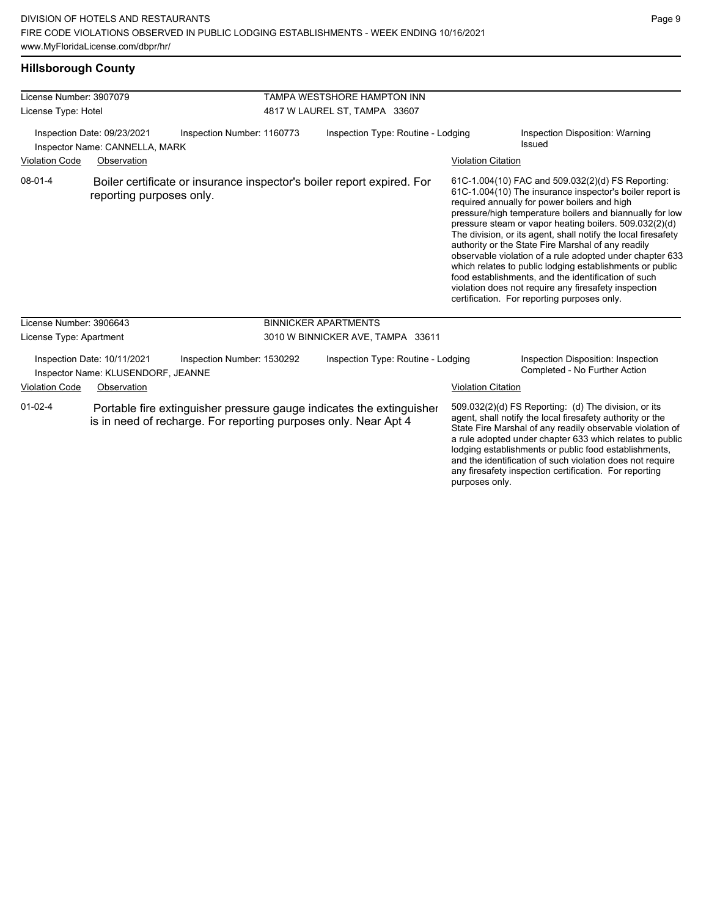### **Hillsborough County**

| License Number: 3907079                                                          |                                                                                  |                            |                                                                      | TAMPA WESTSHORE HAMPTON INN                                            |                                                                                                                                                                                                                                                                                                                                                                                                                                              |                                                                                                                                                                                                                                                                                                                                                                                                                                                                                                                                                                                                                                                                                                  |  |
|----------------------------------------------------------------------------------|----------------------------------------------------------------------------------|----------------------------|----------------------------------------------------------------------|------------------------------------------------------------------------|----------------------------------------------------------------------------------------------------------------------------------------------------------------------------------------------------------------------------------------------------------------------------------------------------------------------------------------------------------------------------------------------------------------------------------------------|--------------------------------------------------------------------------------------------------------------------------------------------------------------------------------------------------------------------------------------------------------------------------------------------------------------------------------------------------------------------------------------------------------------------------------------------------------------------------------------------------------------------------------------------------------------------------------------------------------------------------------------------------------------------------------------------------|--|
| License Type: Hotel                                                              |                                                                                  |                            | 4817 W LAUREL ST, TAMPA 33607                                        |                                                                        |                                                                                                                                                                                                                                                                                                                                                                                                                                              |                                                                                                                                                                                                                                                                                                                                                                                                                                                                                                                                                                                                                                                                                                  |  |
| <b>Violation Code</b>                                                            | Inspection Date: 09/23/2021<br>Inspector Name: CANNELLA, MARK<br>Observation     | Inspection Number: 1160773 |                                                                      | Inspection Type: Routine - Lodging                                     | <b>Violation Citation</b>                                                                                                                                                                                                                                                                                                                                                                                                                    | Inspection Disposition: Warning<br>Issued                                                                                                                                                                                                                                                                                                                                                                                                                                                                                                                                                                                                                                                        |  |
| $08-01-4$                                                                        | reporting purposes only.                                                         |                            |                                                                      | Boiler certificate or insurance inspector's boiler report expired. For |                                                                                                                                                                                                                                                                                                                                                                                                                                              | 61C-1.004(10) FAC and 509.032(2)(d) FS Reporting:<br>61C-1.004(10) The insurance inspector's boiler report is<br>required annually for power boilers and high<br>pressure/high temperature boilers and biannually for low<br>pressure steam or vapor heating boilers. 509.032(2)(d)<br>The division, or its agent, shall notify the local firesafety<br>authority or the State Fire Marshal of any readily<br>observable violation of a rule adopted under chapter 633<br>which relates to public lodging establishments or public<br>food establishments, and the identification of such<br>violation does not require any firesafety inspection<br>certification. For reporting purposes only. |  |
| License Number: 3906643                                                          |                                                                                  |                            |                                                                      | <b>BINNICKER APARTMENTS</b>                                            |                                                                                                                                                                                                                                                                                                                                                                                                                                              |                                                                                                                                                                                                                                                                                                                                                                                                                                                                                                                                                                                                                                                                                                  |  |
| License Type: Apartment                                                          |                                                                                  |                            |                                                                      | 3010 W BINNICKER AVE, TAMPA 33611                                      |                                                                                                                                                                                                                                                                                                                                                                                                                                              |                                                                                                                                                                                                                                                                                                                                                                                                                                                                                                                                                                                                                                                                                                  |  |
| <b>Violation Code</b>                                                            | Inspection Date: 10/11/2021<br>Inspector Name: KLUSENDORF, JEANNE<br>Observation | Inspection Number: 1530292 |                                                                      | Inspection Type: Routine - Lodging                                     | <b>Violation Citation</b>                                                                                                                                                                                                                                                                                                                                                                                                                    | Inspection Disposition: Inspection<br>Completed - No Further Action                                                                                                                                                                                                                                                                                                                                                                                                                                                                                                                                                                                                                              |  |
| $01 - 02 - 4$<br>is in need of recharge. For reporting purposes only. Near Apt 4 |                                                                                  |                            | Portable fire extinguisher pressure gauge indicates the extinguisher |                                                                        | 509.032(2)(d) FS Reporting: (d) The division, or its<br>agent, shall notify the local firesafety authority or the<br>State Fire Marshal of any readily observable violation of<br>a rule adopted under chapter 633 which relates to public<br>lodging establishments or public food establishments,<br>and the identification of such violation does not require<br>any firesafety inspection certification. For reporting<br>purposes only. |                                                                                                                                                                                                                                                                                                                                                                                                                                                                                                                                                                                                                                                                                                  |  |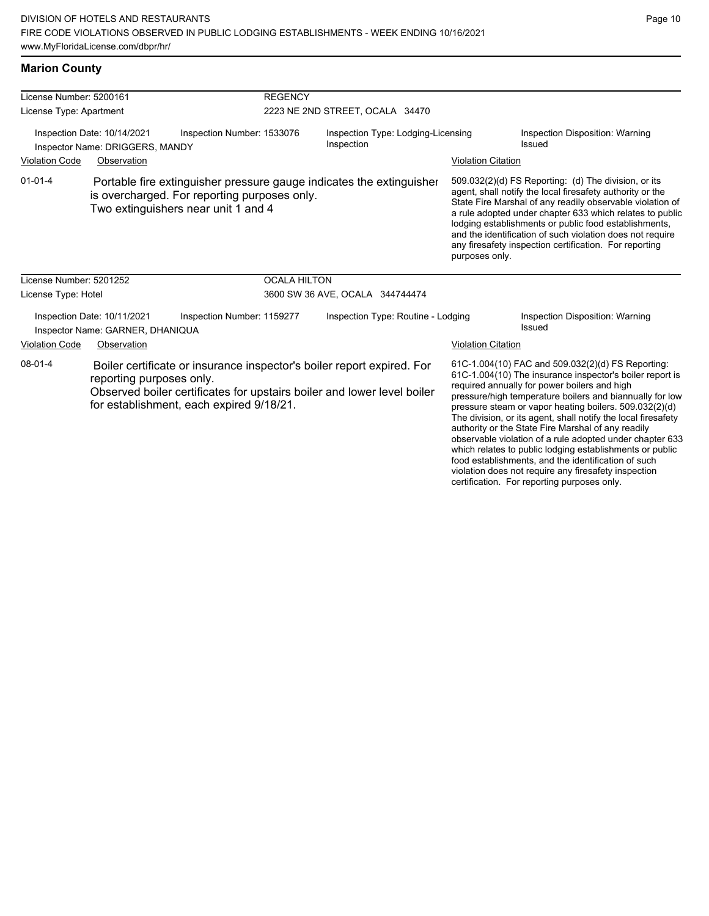food establishments, and the identification of such violation does not require any firesafety inspection certification. For reporting purposes only.

| <b>Marion County</b> |
|----------------------|
|                      |

| License Number: 5200161                                                               |                                                                                     |                            | <b>REGENCY</b>                                                                                                                                    |                                                                      |                                                                                                                                                                                                                                                                                                                                                                                                                                                                                                                                    |                                                                                                                                                                                                                                                                                                                                                                                                                            |  |
|---------------------------------------------------------------------------------------|-------------------------------------------------------------------------------------|----------------------------|---------------------------------------------------------------------------------------------------------------------------------------------------|----------------------------------------------------------------------|------------------------------------------------------------------------------------------------------------------------------------------------------------------------------------------------------------------------------------------------------------------------------------------------------------------------------------------------------------------------------------------------------------------------------------------------------------------------------------------------------------------------------------|----------------------------------------------------------------------------------------------------------------------------------------------------------------------------------------------------------------------------------------------------------------------------------------------------------------------------------------------------------------------------------------------------------------------------|--|
| License Type: Apartment                                                               |                                                                                     |                            | 2223 NE 2ND STREET, OCALA 34470                                                                                                                   |                                                                      |                                                                                                                                                                                                                                                                                                                                                                                                                                                                                                                                    |                                                                                                                                                                                                                                                                                                                                                                                                                            |  |
|                                                                                       | Inspection Date: 10/14/2021<br>Inspector Name: DRIGGERS, MANDY                      | Inspection Number: 1533076 | Inspection Type: Lodging-Licensing<br>Inspection                                                                                                  |                                                                      |                                                                                                                                                                                                                                                                                                                                                                                                                                                                                                                                    | Inspection Disposition: Warning<br><b>Issued</b>                                                                                                                                                                                                                                                                                                                                                                           |  |
| <b>Violation Code</b>                                                                 | Observation                                                                         |                            |                                                                                                                                                   |                                                                      | <b>Violation Citation</b>                                                                                                                                                                                                                                                                                                                                                                                                                                                                                                          |                                                                                                                                                                                                                                                                                                                                                                                                                            |  |
| $01 - 01 - 4$                                                                         | is overcharged. For reporting purposes only.<br>Two extinguishers near unit 1 and 4 |                            |                                                                                                                                                   | Portable fire extinguisher pressure gauge indicates the extinguisher | purposes only.                                                                                                                                                                                                                                                                                                                                                                                                                                                                                                                     | 509.032(2)(d) FS Reporting: (d) The division, or its<br>agent, shall notify the local firesafety authority or the<br>State Fire Marshal of any readily observable violation of<br>a rule adopted under chapter 633 which relates to public<br>lodging establishments or public food establishments,<br>and the identification of such violation does not require<br>any firesafety inspection certification. For reporting |  |
| License Number: 5201252                                                               |                                                                                     |                            | <b>OCALA HILTON</b>                                                                                                                               |                                                                      |                                                                                                                                                                                                                                                                                                                                                                                                                                                                                                                                    |                                                                                                                                                                                                                                                                                                                                                                                                                            |  |
| License Type: Hotel                                                                   |                                                                                     |                            |                                                                                                                                                   | 3600 SW 36 AVE, OCALA 344744474                                      |                                                                                                                                                                                                                                                                                                                                                                                                                                                                                                                                    |                                                                                                                                                                                                                                                                                                                                                                                                                            |  |
|                                                                                       | Inspection Date: 10/11/2021<br>Inspector Name: GARNER, DHANIQUA                     | Inspection Number: 1159277 |                                                                                                                                                   | Inspection Type: Routine - Lodging                                   |                                                                                                                                                                                                                                                                                                                                                                                                                                                                                                                                    | Inspection Disposition: Warning<br>Issued                                                                                                                                                                                                                                                                                                                                                                                  |  |
| <b>Violation Code</b>                                                                 | Observation                                                                         |                            |                                                                                                                                                   |                                                                      | <b>Violation Citation</b>                                                                                                                                                                                                                                                                                                                                                                                                                                                                                                          |                                                                                                                                                                                                                                                                                                                                                                                                                            |  |
| $08 - 01 - 4$<br>reporting purposes only.<br>for establishment, each expired 9/18/21. |                                                                                     |                            | Boiler certificate or insurance inspector's boiler report expired. For<br>Observed boiler certificates for upstairs boiler and lower level boiler |                                                                      | 61C-1.004(10) FAC and 509.032(2)(d) FS Reporting:<br>61C-1.004(10) The insurance inspector's boiler report is<br>required annually for power boilers and high<br>pressure/high temperature boilers and biannually for low<br>pressure steam or vapor heating boilers. 509.032(2)(d)<br>The division, or its agent, shall notify the local firesafety<br>authority or the State Fire Marshal of any readily<br>observable violation of a rule adopted under chapter 633<br>which relates to public lodging establishments or public |                                                                                                                                                                                                                                                                                                                                                                                                                            |  |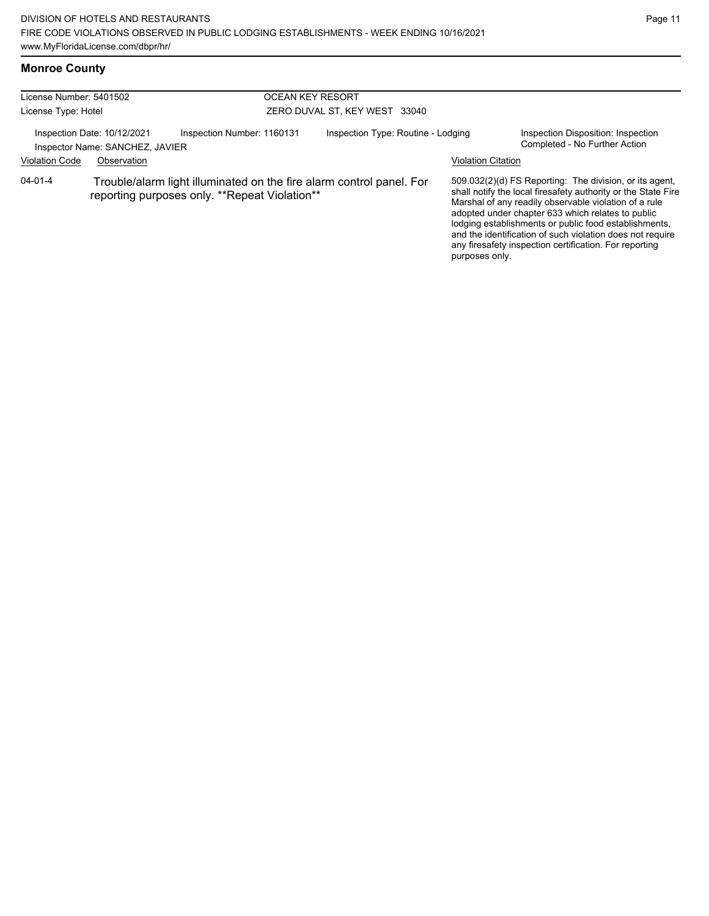# **Monroe County**

| License Number: 5401502 |                                                                |                                                                                                                       | <b>OCEAN KEY RESORT</b> |                                    |                           |                                                                                                                                                                                                                                                                                                                                                                                                                        |
|-------------------------|----------------------------------------------------------------|-----------------------------------------------------------------------------------------------------------------------|-------------------------|------------------------------------|---------------------------|------------------------------------------------------------------------------------------------------------------------------------------------------------------------------------------------------------------------------------------------------------------------------------------------------------------------------------------------------------------------------------------------------------------------|
| License Type: Hotel     |                                                                |                                                                                                                       |                         | ZERO DUVAL ST, KEY WEST 33040      |                           |                                                                                                                                                                                                                                                                                                                                                                                                                        |
|                         | Inspection Date: 10/12/2021<br>Inspector Name: SANCHEZ, JAVIER | Inspection Number: 1160131                                                                                            |                         | Inspection Type: Routine - Lodging |                           | Inspection Disposition: Inspection<br>Completed - No Further Action                                                                                                                                                                                                                                                                                                                                                    |
| <b>Violation Code</b>   | Observation                                                    |                                                                                                                       |                         |                                    | <b>Violation Citation</b> |                                                                                                                                                                                                                                                                                                                                                                                                                        |
| $04 - 01 - 4$           |                                                                | Trouble/alarm light illuminated on the fire alarm control panel. For<br>reporting purposes only. **Repeat Violation** |                         |                                    | purposes only.            | 509.032(2)(d) FS Reporting: The division, or its agent,<br>shall notify the local firesafety authority or the State Fire<br>Marshal of any readily observable violation of a rule<br>adopted under chapter 633 which relates to public<br>lodging establishments or public food establishments,<br>and the identification of such violation does not require<br>any firesafety inspection certification. For reporting |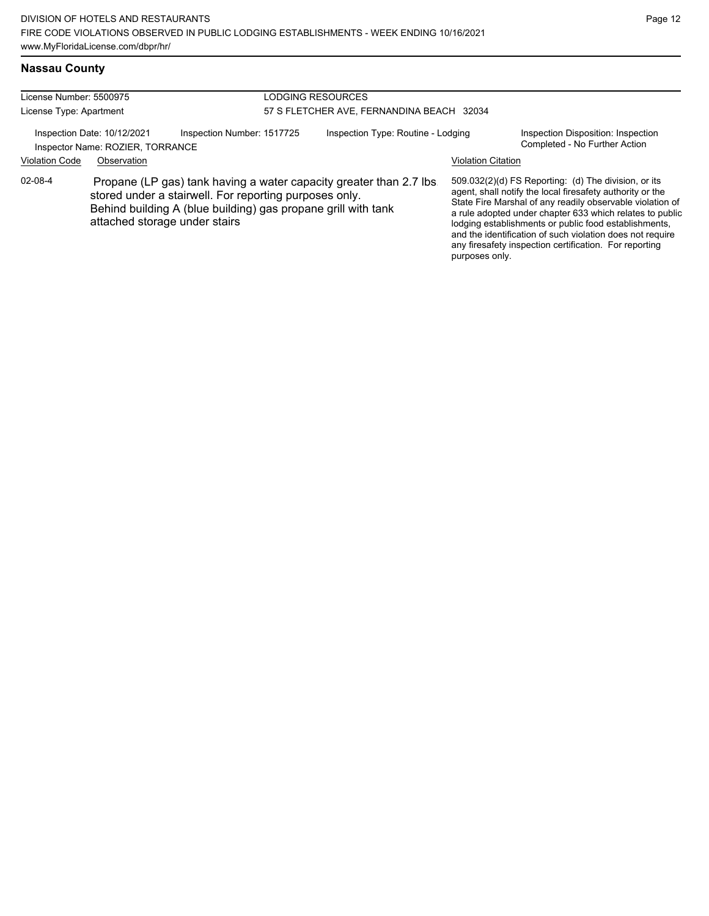## **Nassau County**

| License Number: 5500975<br>License Type: Apartment |                                                                                |                                                                                                                         | LODGING RESOURCES<br>57 S FLETCHER AVE, FERNANDINA BEACH 32034 |                                                                     |                           |                                                                                                                                                                                                                                                                                                                                                                                                                            |
|----------------------------------------------------|--------------------------------------------------------------------------------|-------------------------------------------------------------------------------------------------------------------------|----------------------------------------------------------------|---------------------------------------------------------------------|---------------------------|----------------------------------------------------------------------------------------------------------------------------------------------------------------------------------------------------------------------------------------------------------------------------------------------------------------------------------------------------------------------------------------------------------------------------|
| <b>Violation Code</b>                              | Inspection Date: 10/12/2021<br>Inspector Name: ROZIER, TORRANCE<br>Observation | Inspection Number: 1517725                                                                                              |                                                                | Inspection Type: Routine - Lodging                                  | <b>Violation Citation</b> | Inspection Disposition: Inspection<br>Completed - No Further Action                                                                                                                                                                                                                                                                                                                                                        |
| 02-08-4                                            | attached storage under stairs                                                  | stored under a stairwell. For reporting purposes only.<br>Behind building A (blue building) gas propane grill with tank |                                                                | Propane (LP gas) tank having a water capacity greater than 2.7 lbs. | purposes only.            | 509.032(2)(d) FS Reporting: (d) The division, or its<br>agent, shall notify the local firesafety authority or the<br>State Fire Marshal of any readily observable violation of<br>a rule adopted under chapter 633 which relates to public<br>lodging establishments or public food establishments,<br>and the identification of such violation does not require<br>any firesafety inspection certification. For reporting |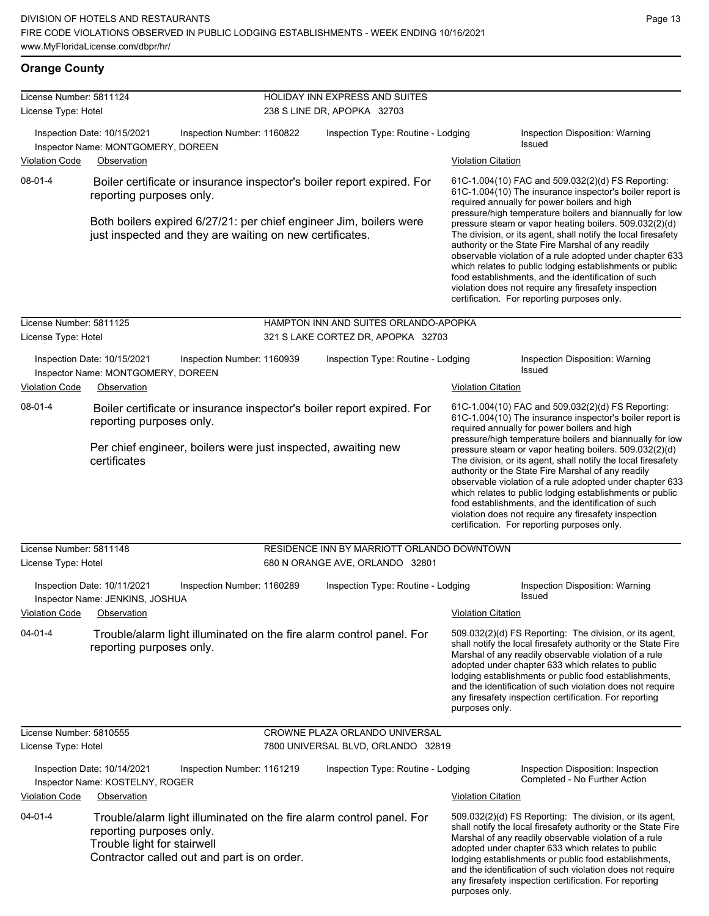## **Orange County**

| License Number: 5811124<br>License Type: Hotel                                                                                                                                            |                                                                                                                                                                                | <b>HOLIDAY INN EXPRESS AND SUITES</b><br>238 S LINE DR, APOPKA 32703 |                                                                                                                                                                                                                                                                                                                                                                                                                                                                     |                                                                                                                                                                                                                                                                                                                                                                                                                        |  |
|-------------------------------------------------------------------------------------------------------------------------------------------------------------------------------------------|--------------------------------------------------------------------------------------------------------------------------------------------------------------------------------|----------------------------------------------------------------------|---------------------------------------------------------------------------------------------------------------------------------------------------------------------------------------------------------------------------------------------------------------------------------------------------------------------------------------------------------------------------------------------------------------------------------------------------------------------|------------------------------------------------------------------------------------------------------------------------------------------------------------------------------------------------------------------------------------------------------------------------------------------------------------------------------------------------------------------------------------------------------------------------|--|
|                                                                                                                                                                                           | Inspection Date: 10/15/2021<br>Inspection Number: 1160822<br>Inspector Name: MONTGOMERY, DOREEN                                                                                | Inspection Type: Routine - Lodging                                   | Inspection Disposition: Warning<br>Issued                                                                                                                                                                                                                                                                                                                                                                                                                           |                                                                                                                                                                                                                                                                                                                                                                                                                        |  |
| <b>Violation Code</b>                                                                                                                                                                     | Observation                                                                                                                                                                    |                                                                      | <b>Violation Citation</b>                                                                                                                                                                                                                                                                                                                                                                                                                                           |                                                                                                                                                                                                                                                                                                                                                                                                                        |  |
| $08 - 01 - 4$<br>Boiler certificate or insurance inspector's boiler report expired. For<br>reporting purposes only.<br>Both boilers expired 6/27/21: per chief engineer Jim, boilers were |                                                                                                                                                                                |                                                                      |                                                                                                                                                                                                                                                                                                                                                                                                                                                                     | 61C-1.004(10) FAC and 509.032(2)(d) FS Reporting:<br>61C-1.004(10) The insurance inspector's boiler report is<br>required annually for power boilers and high<br>pressure/high temperature boilers and biannually for low<br>pressure steam or vapor heating boilers. 509.032(2)(d)                                                                                                                                    |  |
|                                                                                                                                                                                           | just inspected and they are waiting on new certificates.                                                                                                                       |                                                                      | The division, or its agent, shall notify the local firesafety<br>authority or the State Fire Marshal of any readily<br>observable violation of a rule adopted under chapter 633<br>which relates to public lodging establishments or public<br>food establishments, and the identification of such<br>violation does not require any firesafety inspection<br>certification. For reporting purposes only.                                                           |                                                                                                                                                                                                                                                                                                                                                                                                                        |  |
| License Number: 5811125                                                                                                                                                                   |                                                                                                                                                                                | HAMPTON INN AND SUITES ORLANDO-APOPKA                                |                                                                                                                                                                                                                                                                                                                                                                                                                                                                     |                                                                                                                                                                                                                                                                                                                                                                                                                        |  |
| License Type: Hotel                                                                                                                                                                       |                                                                                                                                                                                | 321 S LAKE CORTEZ DR, APOPKA 32703                                   |                                                                                                                                                                                                                                                                                                                                                                                                                                                                     |                                                                                                                                                                                                                                                                                                                                                                                                                        |  |
|                                                                                                                                                                                           | Inspection Date: 10/15/2021<br>Inspection Number: 1160939<br>Inspector Name: MONTGOMERY, DOREEN                                                                                | Inspection Type: Routine - Lodging                                   |                                                                                                                                                                                                                                                                                                                                                                                                                                                                     | Inspection Disposition: Warning<br>Issued                                                                                                                                                                                                                                                                                                                                                                              |  |
| <b>Violation Code</b>                                                                                                                                                                     | Observation                                                                                                                                                                    |                                                                      | <b>Violation Citation</b>                                                                                                                                                                                                                                                                                                                                                                                                                                           |                                                                                                                                                                                                                                                                                                                                                                                                                        |  |
| $08 - 01 - 4$<br>Boiler certificate or insurance inspector's boiler report expired. For<br>reporting purposes only.                                                                       |                                                                                                                                                                                |                                                                      | 61C-1.004(10) FAC and 509.032(2)(d) FS Reporting:<br>61C-1.004(10) The insurance inspector's boiler report is<br>required annually for power boilers and high<br>pressure/high temperature boilers and biannually for low                                                                                                                                                                                                                                           |                                                                                                                                                                                                                                                                                                                                                                                                                        |  |
|                                                                                                                                                                                           | Per chief engineer, boilers were just inspected, awaiting new<br>certificates                                                                                                  |                                                                      | pressure steam or vapor heating boilers. 509.032(2)(d)<br>The division, or its agent, shall notify the local firesafety<br>authority or the State Fire Marshal of any readily<br>observable violation of a rule adopted under chapter 633<br>which relates to public lodging establishments or public<br>food establishments, and the identification of such<br>violation does not require any firesafety inspection<br>certification. For reporting purposes only. |                                                                                                                                                                                                                                                                                                                                                                                                                        |  |
| License Number: 5811148                                                                                                                                                                   |                                                                                                                                                                                | RESIDENCE INN BY MARRIOTT ORLANDO DOWNTOWN                           |                                                                                                                                                                                                                                                                                                                                                                                                                                                                     |                                                                                                                                                                                                                                                                                                                                                                                                                        |  |
| License Type: Hotel                                                                                                                                                                       |                                                                                                                                                                                | 680 N ORANGE AVE, ORLANDO 32801                                      |                                                                                                                                                                                                                                                                                                                                                                                                                                                                     |                                                                                                                                                                                                                                                                                                                                                                                                                        |  |
|                                                                                                                                                                                           | Inspection Date: 10/11/2021<br>Inspection Number: 1160289<br>Inspector Name: JENKINS, JOSHUA                                                                                   | Inspection Type: Routine - Lodging                                   |                                                                                                                                                                                                                                                                                                                                                                                                                                                                     | Inspection Disposition: Warning<br>Issued                                                                                                                                                                                                                                                                                                                                                                              |  |
| <b>Violation Code</b>                                                                                                                                                                     | Observation                                                                                                                                                                    |                                                                      | <b>Violation Citation</b>                                                                                                                                                                                                                                                                                                                                                                                                                                           |                                                                                                                                                                                                                                                                                                                                                                                                                        |  |
| $04 - 01 - 4$                                                                                                                                                                             | Trouble/alarm light illuminated on the fire alarm control panel. For<br>reporting purposes only.                                                                               |                                                                      | purposes only.                                                                                                                                                                                                                                                                                                                                                                                                                                                      | 509.032(2)(d) FS Reporting: The division, or its agent,<br>shall notify the local firesafety authority or the State Fire<br>Marshal of any readily observable violation of a rule<br>adopted under chapter 633 which relates to public<br>lodging establishments or public food establishments,<br>and the identification of such violation does not require<br>any firesafety inspection certification. For reporting |  |
| License Number: 5810555                                                                                                                                                                   |                                                                                                                                                                                | CROWNE PLAZA ORLANDO UNIVERSAL                                       |                                                                                                                                                                                                                                                                                                                                                                                                                                                                     |                                                                                                                                                                                                                                                                                                                                                                                                                        |  |
| License Type: Hotel                                                                                                                                                                       |                                                                                                                                                                                | 7800 UNIVERSAL BLVD, ORLANDO 32819                                   |                                                                                                                                                                                                                                                                                                                                                                                                                                                                     |                                                                                                                                                                                                                                                                                                                                                                                                                        |  |
|                                                                                                                                                                                           | Inspection Date: 10/14/2021<br>Inspection Number: 1161219<br>Inspector Name: KOSTELNY, ROGER                                                                                   | Inspection Type: Routine - Lodging                                   |                                                                                                                                                                                                                                                                                                                                                                                                                                                                     | Inspection Disposition: Inspection<br>Completed - No Further Action                                                                                                                                                                                                                                                                                                                                                    |  |
| <b>Violation Code</b>                                                                                                                                                                     | Observation                                                                                                                                                                    |                                                                      | <b>Violation Citation</b>                                                                                                                                                                                                                                                                                                                                                                                                                                           |                                                                                                                                                                                                                                                                                                                                                                                                                        |  |
| $04 - 01 - 4$                                                                                                                                                                             | Trouble/alarm light illuminated on the fire alarm control panel. For<br>reporting purposes only.<br>Trouble light for stairwell<br>Contractor called out and part is on order. |                                                                      | purposes only.                                                                                                                                                                                                                                                                                                                                                                                                                                                      | 509.032(2)(d) FS Reporting: The division, or its agent,<br>shall notify the local firesafety authority or the State Fire<br>Marshal of any readily observable violation of a rule<br>adopted under chapter 633 which relates to public<br>lodging establishments or public food establishments,<br>and the identification of such violation does not require<br>any firesafety inspection certification. For reporting |  |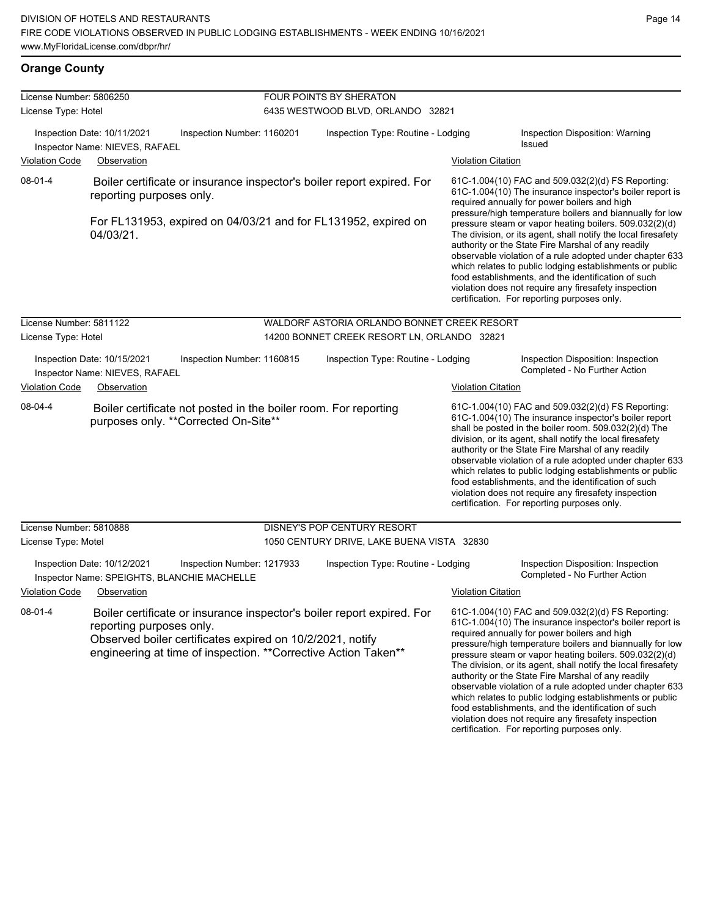### **Orange County**

| License Number: 5806250                                       |                                                                            |                                                                                                                                                                                                        | <b>FOUR POINTS BY SHERATON</b>              |                           |                                                                                                                                                                                                                                                                                                                                                                                                                                                                                                                                                                                                                                                                                                  |
|---------------------------------------------------------------|----------------------------------------------------------------------------|--------------------------------------------------------------------------------------------------------------------------------------------------------------------------------------------------------|---------------------------------------------|---------------------------|--------------------------------------------------------------------------------------------------------------------------------------------------------------------------------------------------------------------------------------------------------------------------------------------------------------------------------------------------------------------------------------------------------------------------------------------------------------------------------------------------------------------------------------------------------------------------------------------------------------------------------------------------------------------------------------------------|
| License Type: Hotel                                           |                                                                            |                                                                                                                                                                                                        | 6435 WESTWOOD BLVD, ORLANDO 32821           |                           |                                                                                                                                                                                                                                                                                                                                                                                                                                                                                                                                                                                                                                                                                                  |
| Inspection Date: 10/11/2021<br>Inspector Name: NIEVES, RAFAEL |                                                                            | Inspection Number: 1160201                                                                                                                                                                             | Inspection Type: Routine - Lodging          |                           | Inspection Disposition: Warning<br><b>Issued</b>                                                                                                                                                                                                                                                                                                                                                                                                                                                                                                                                                                                                                                                 |
| <b>Violation Code</b>                                         | Observation                                                                |                                                                                                                                                                                                        |                                             | <b>Violation Citation</b> |                                                                                                                                                                                                                                                                                                                                                                                                                                                                                                                                                                                                                                                                                                  |
| 08-01-4                                                       | reporting purposes only.<br>04/03/21.                                      | Boiler certificate or insurance inspector's boiler report expired. For<br>For FL131953, expired on 04/03/21 and for FL131952, expired on                                                               |                                             |                           | 61C-1.004(10) FAC and 509.032(2)(d) FS Reporting:<br>61C-1.004(10) The insurance inspector's boiler report is<br>required annually for power boilers and high<br>pressure/high temperature boilers and biannually for low<br>pressure steam or vapor heating boilers. 509.032(2)(d)<br>The division, or its agent, shall notify the local firesafety<br>authority or the State Fire Marshal of any readily<br>observable violation of a rule adopted under chapter 633<br>which relates to public lodging establishments or public<br>food establishments, and the identification of such<br>violation does not require any firesafety inspection<br>certification. For reporting purposes only. |
| License Number: 5811122                                       |                                                                            |                                                                                                                                                                                                        | WALDORF ASTORIA ORLANDO BONNET CREEK RESORT |                           |                                                                                                                                                                                                                                                                                                                                                                                                                                                                                                                                                                                                                                                                                                  |
| License Type: Hotel                                           |                                                                            |                                                                                                                                                                                                        | 14200 BONNET CREEK RESORT LN, ORLANDO 32821 |                           |                                                                                                                                                                                                                                                                                                                                                                                                                                                                                                                                                                                                                                                                                                  |
|                                                               | Inspection Date: 10/15/2021<br>Inspector Name: NIEVES, RAFAEL              | Inspection Number: 1160815                                                                                                                                                                             | Inspection Type: Routine - Lodging          |                           | Inspection Disposition: Inspection<br>Completed - No Further Action                                                                                                                                                                                                                                                                                                                                                                                                                                                                                                                                                                                                                              |
| <b>Violation Code</b>                                         | Observation                                                                |                                                                                                                                                                                                        |                                             | <b>Violation Citation</b> |                                                                                                                                                                                                                                                                                                                                                                                                                                                                                                                                                                                                                                                                                                  |
| 08-04-4                                                       |                                                                            | Boiler certificate not posted in the boiler room. For reporting<br>purposes only. ** Corrected On-Site**                                                                                               |                                             |                           | 61C-1.004(10) FAC and 509.032(2)(d) FS Reporting:<br>61C-1.004(10) The insurance inspector's boiler report<br>shall be posted in the boiler room. 509.032(2)(d) The<br>division, or its agent, shall notify the local firesafety<br>authority or the State Fire Marshal of any readily<br>observable violation of a rule adopted under chapter 633<br>which relates to public lodging establishments or public<br>food establishments, and the identification of such<br>violation does not require any firesafety inspection<br>certification. For reporting purposes only.                                                                                                                     |
| License Number: 5810888                                       |                                                                            |                                                                                                                                                                                                        | DISNEY'S POP CENTURY RESORT                 |                           |                                                                                                                                                                                                                                                                                                                                                                                                                                                                                                                                                                                                                                                                                                  |
| License Type: Motel                                           |                                                                            |                                                                                                                                                                                                        | 1050 CENTURY DRIVE, LAKE BUENA VISTA 32830  |                           |                                                                                                                                                                                                                                                                                                                                                                                                                                                                                                                                                                                                                                                                                                  |
|                                                               | Inspection Date: 10/12/2021<br>Inspector Name: SPEIGHTS, BLANCHIE MACHELLE | Inspection Number: 1217933                                                                                                                                                                             | Inspection Type: Routine - Lodging          |                           | Inspection Disposition: Inspection<br>Completed - No Further Action                                                                                                                                                                                                                                                                                                                                                                                                                                                                                                                                                                                                                              |
| <b>Violation Code</b>                                         | Observation                                                                |                                                                                                                                                                                                        |                                             | <b>Violation Citation</b> |                                                                                                                                                                                                                                                                                                                                                                                                                                                                                                                                                                                                                                                                                                  |
| 08-01-4                                                       | reporting purposes only.                                                   | Boiler certificate or insurance inspector's boiler report expired. For<br>Observed boiler certificates expired on 10/2/2021, notify<br>engineering at time of inspection. ** Corrective Action Taken** |                                             |                           | 61C-1.004(10) FAC and 509.032(2)(d) FS Reporting:<br>61C-1.004(10) The insurance inspector's boiler report is<br>required annually for power boilers and high<br>pressure/high temperature boilers and biannually for low<br>pressure steam or vapor heating boilers. 509.032(2)(d)<br>The division, or its agent, shall notify the local firesafety<br>authority or the State Fire Marshal of any readily<br>observable violation of a rule adopted under chapter 633<br>which relates to public lodging establishments or public                                                                                                                                                               |

food establishments, and the identification of such violation does not require any firesafety inspection certification. For reporting purposes only.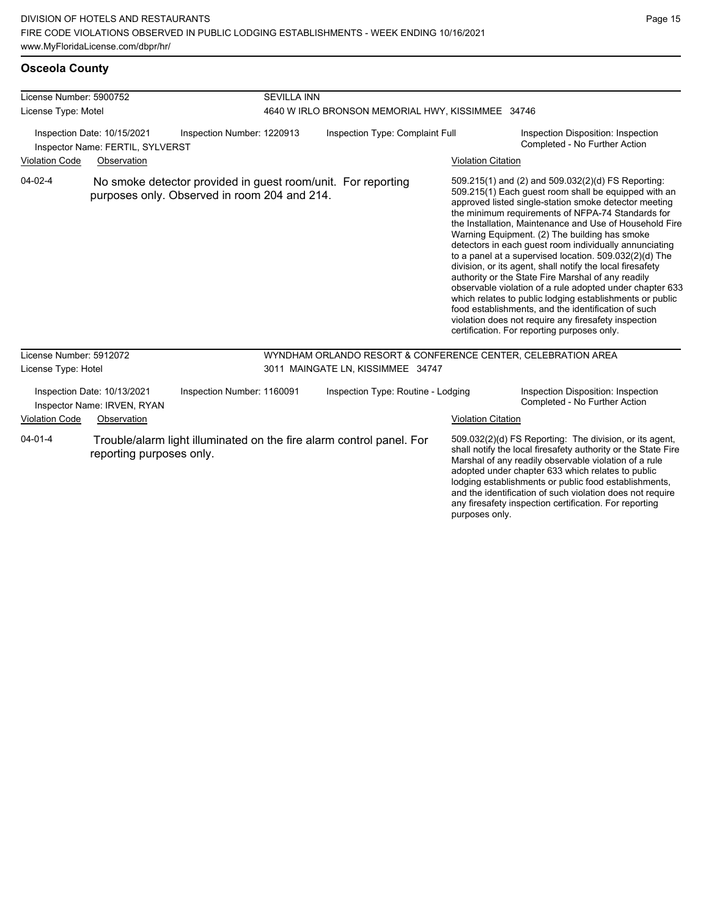| License Number: 5900752                                         |                                                            |                                                                                                              | <b>SEVILLA INN</b>                                |                                                              |                           |                                                                                                                                                                                                                                                                                                                                                                                                                                                                                                                                                                                                                                                                                                                                                                                                                                                                   |  |
|-----------------------------------------------------------------|------------------------------------------------------------|--------------------------------------------------------------------------------------------------------------|---------------------------------------------------|--------------------------------------------------------------|---------------------------|-------------------------------------------------------------------------------------------------------------------------------------------------------------------------------------------------------------------------------------------------------------------------------------------------------------------------------------------------------------------------------------------------------------------------------------------------------------------------------------------------------------------------------------------------------------------------------------------------------------------------------------------------------------------------------------------------------------------------------------------------------------------------------------------------------------------------------------------------------------------|--|
| License Type: Motel                                             |                                                            |                                                                                                              | 4640 W IRLO BRONSON MEMORIAL HWY, KISSIMMEE 34746 |                                                              |                           |                                                                                                                                                                                                                                                                                                                                                                                                                                                                                                                                                                                                                                                                                                                                                                                                                                                                   |  |
| Inspection Date: 10/15/2021<br>Inspector Name: FERTIL, SYLVERST |                                                            | Inspection Number: 1220913                                                                                   | Inspection Type: Complaint Full                   |                                                              |                           | Inspection Disposition: Inspection<br>Completed - No Further Action                                                                                                                                                                                                                                                                                                                                                                                                                                                                                                                                                                                                                                                                                                                                                                                               |  |
| <b>Violation Code</b>                                           | Observation                                                |                                                                                                              |                                                   |                                                              | <b>Violation Citation</b> |                                                                                                                                                                                                                                                                                                                                                                                                                                                                                                                                                                                                                                                                                                                                                                                                                                                                   |  |
| $04 - 02 - 4$                                                   |                                                            | No smoke detector provided in guest room/unit. For reporting<br>purposes only. Observed in room 204 and 214. |                                                   |                                                              |                           | 509.215(1) and (2) and 509.032(2)(d) FS Reporting:<br>509.215(1) Each guest room shall be equipped with an<br>approved listed single-station smoke detector meeting<br>the minimum requirements of NFPA-74 Standards for<br>the Installation, Maintenance and Use of Household Fire<br>Warning Equipment. (2) The building has smoke<br>detectors in each guest room individually annunciating<br>to a panel at a supervised location. 509.032(2)(d) The<br>division, or its agent, shall notify the local firesafety<br>authority or the State Fire Marshal of any readily<br>observable violation of a rule adopted under chapter 633<br>which relates to public lodging establishments or public<br>food establishments, and the identification of such<br>violation does not require any firesafety inspection<br>certification. For reporting purposes only. |  |
| License Number: 5912072                                         |                                                            |                                                                                                              |                                                   | WYNDHAM ORLANDO RESORT & CONFERENCE CENTER, CELEBRATION AREA |                           |                                                                                                                                                                                                                                                                                                                                                                                                                                                                                                                                                                                                                                                                                                                                                                                                                                                                   |  |
| License Type: Hotel                                             |                                                            |                                                                                                              |                                                   | 3011 MAINGATE LN, KISSIMMEE 34747                            |                           |                                                                                                                                                                                                                                                                                                                                                                                                                                                                                                                                                                                                                                                                                                                                                                                                                                                                   |  |
|                                                                 | Inspection Date: 10/13/2021<br>Inspector Name: IRVEN, RYAN | Inspection Number: 1160091                                                                                   |                                                   | Inspection Type: Routine - Lodging                           |                           | Inspection Disposition: Inspection<br>Completed - No Further Action                                                                                                                                                                                                                                                                                                                                                                                                                                                                                                                                                                                                                                                                                                                                                                                               |  |
| <b>Violation Code</b>                                           | Observation                                                |                                                                                                              |                                                   |                                                              | <b>Violation Citation</b> |                                                                                                                                                                                                                                                                                                                                                                                                                                                                                                                                                                                                                                                                                                                                                                                                                                                                   |  |
| $04 - 01 - 4$                                                   | reporting purposes only.                                   | Trouble/alarm light illuminated on the fire alarm control panel. For                                         |                                                   |                                                              | purposes only.            | 509.032(2)(d) FS Reporting: The division, or its agent,<br>shall notify the local firesafety authority or the State Fire<br>Marshal of any readily observable violation of a rule<br>adopted under chapter 633 which relates to public<br>lodging establishments or public food establishments,<br>and the identification of such violation does not require<br>any firesafety inspection certification. For reporting                                                                                                                                                                                                                                                                                                                                                                                                                                            |  |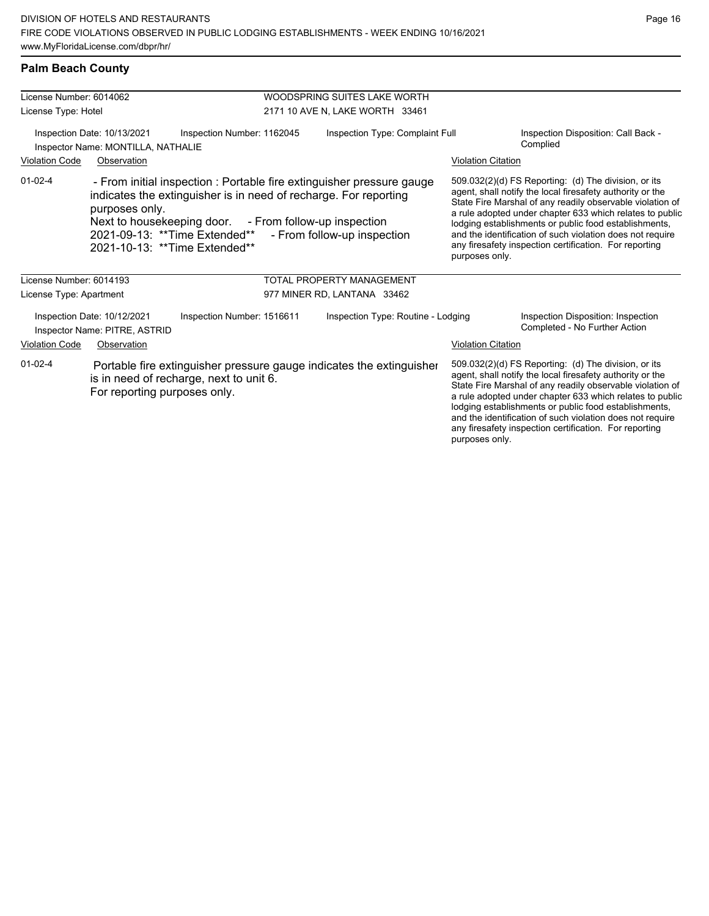any firesafety inspection certification. For reporting

purposes only.

## **Palm Beach County**

| License Number: 6014062                                      |                                                                                                                                                                                                                                                                                                                          |                                                                                                                 | WOODSPRING SUITES LAKE WORTH       |                                                                                                                                                                                                                                                                                                                                                                                                                                              |                                                                                                                                                                                                                                                                                                                                                                  |
|--------------------------------------------------------------|--------------------------------------------------------------------------------------------------------------------------------------------------------------------------------------------------------------------------------------------------------------------------------------------------------------------------|-----------------------------------------------------------------------------------------------------------------|------------------------------------|----------------------------------------------------------------------------------------------------------------------------------------------------------------------------------------------------------------------------------------------------------------------------------------------------------------------------------------------------------------------------------------------------------------------------------------------|------------------------------------------------------------------------------------------------------------------------------------------------------------------------------------------------------------------------------------------------------------------------------------------------------------------------------------------------------------------|
| License Type: Hotel                                          |                                                                                                                                                                                                                                                                                                                          |                                                                                                                 | 2171 10 AVE N, LAKE WORTH 33461    |                                                                                                                                                                                                                                                                                                                                                                                                                                              |                                                                                                                                                                                                                                                                                                                                                                  |
|                                                              | Inspection Date: 10/13/2021<br>Inspector Name: MONTILLA, NATHALIE                                                                                                                                                                                                                                                        | Inspection Number: 1162045                                                                                      | Inspection Type: Complaint Full    |                                                                                                                                                                                                                                                                                                                                                                                                                                              | Inspection Disposition: Call Back -<br>Complied                                                                                                                                                                                                                                                                                                                  |
| <b>Violation Code</b>                                        | Observation                                                                                                                                                                                                                                                                                                              |                                                                                                                 |                                    | <b>Violation Citation</b>                                                                                                                                                                                                                                                                                                                                                                                                                    |                                                                                                                                                                                                                                                                                                                                                                  |
| $01 - 02 - 4$                                                | - From initial inspection : Portable fire extinguisher pressure gauge<br>indicates the extinguisher is in need of recharge. For reporting<br>purposes only.<br>Next to housekeeping door. - From follow-up inspection<br>2021-09-13: ** Time Extended**<br>- From follow-up inspection<br>2021-10-13: ** Time Extended** |                                                                                                                 |                                    | 509.032(2)(d) FS Reporting: (d) The division, or its<br>agent, shall notify the local firesafety authority or the<br>State Fire Marshal of any readily observable violation of<br>a rule adopted under chapter 633 which relates to public<br>lodging establishments or public food establishments,<br>and the identification of such violation does not require<br>any firesafety inspection certification. For reporting<br>purposes only. |                                                                                                                                                                                                                                                                                                                                                                  |
| License Number: 6014193                                      |                                                                                                                                                                                                                                                                                                                          |                                                                                                                 | <b>TOTAL PROPERTY MANAGEMENT</b>   |                                                                                                                                                                                                                                                                                                                                                                                                                                              |                                                                                                                                                                                                                                                                                                                                                                  |
| License Type: Apartment                                      |                                                                                                                                                                                                                                                                                                                          |                                                                                                                 | 977 MINER RD, LANTANA 33462        |                                                                                                                                                                                                                                                                                                                                                                                                                                              |                                                                                                                                                                                                                                                                                                                                                                  |
| Inspection Date: 10/12/2021<br>Inspector Name: PITRE, ASTRID |                                                                                                                                                                                                                                                                                                                          | Inspection Number: 1516611                                                                                      | Inspection Type: Routine - Lodging |                                                                                                                                                                                                                                                                                                                                                                                                                                              | Inspection Disposition: Inspection<br>Completed - No Further Action                                                                                                                                                                                                                                                                                              |
| <b>Violation Code</b>                                        | Observation                                                                                                                                                                                                                                                                                                              |                                                                                                                 |                                    | <b>Violation Citation</b>                                                                                                                                                                                                                                                                                                                                                                                                                    |                                                                                                                                                                                                                                                                                                                                                                  |
| $01 - 02 - 4$                                                | For reporting purposes only.                                                                                                                                                                                                                                                                                             | Portable fire extinguisher pressure gauge indicates the extinguisher<br>is in need of recharge, next to unit 6. |                                    |                                                                                                                                                                                                                                                                                                                                                                                                                                              | 509.032(2)(d) FS Reporting: (d) The division, or its<br>agent, shall notify the local firesafety authority or the<br>State Fire Marshal of any readily observable violation of<br>a rule adopted under chapter 633 which relates to public<br>lodging establishments or public food establishments,<br>and the identification of such violation does not require |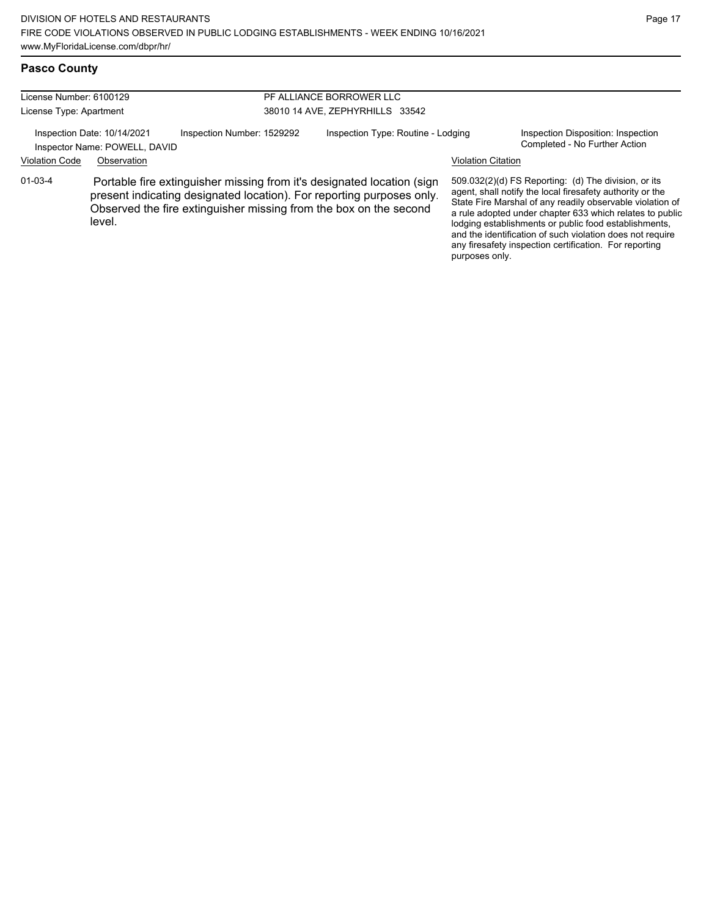## **Pasco County**

| License Number: 6100129                                                                    |             |                                    | PF ALLIANCE BORROWER LLC                                                                                                                                                                                             |                                                                     |                                                                                                                                                                                                                                                                                                                                                                                                                            |  |  |
|--------------------------------------------------------------------------------------------|-------------|------------------------------------|----------------------------------------------------------------------------------------------------------------------------------------------------------------------------------------------------------------------|---------------------------------------------------------------------|----------------------------------------------------------------------------------------------------------------------------------------------------------------------------------------------------------------------------------------------------------------------------------------------------------------------------------------------------------------------------------------------------------------------------|--|--|
| License Type: Apartment                                                                    |             | 38010 14 AVE, ZEPHYRHILLS 33542    |                                                                                                                                                                                                                      |                                                                     |                                                                                                                                                                                                                                                                                                                                                                                                                            |  |  |
| Inspection Date: 10/14/2021<br>Inspection Number: 1529292<br>Inspector Name: POWELL, DAVID |             | Inspection Type: Routine - Lodging |                                                                                                                                                                                                                      | Inspection Disposition: Inspection<br>Completed - No Further Action |                                                                                                                                                                                                                                                                                                                                                                                                                            |  |  |
| <b>Violation Code</b>                                                                      | Observation |                                    |                                                                                                                                                                                                                      | <b>Violation Citation</b>                                           |                                                                                                                                                                                                                                                                                                                                                                                                                            |  |  |
| $01 - 03 - 4$                                                                              | level.      |                                    | Portable fire extinguisher missing from it's designated location (sign<br>present indicating designated location). For reporting purposes only.<br>Observed the fire extinguisher missing from the box on the second | purposes only.                                                      | 509.032(2)(d) FS Reporting: (d) The division, or its<br>agent, shall notify the local firesafety authority or the<br>State Fire Marshal of any readily observable violation of<br>a rule adopted under chapter 633 which relates to public<br>lodging establishments or public food establishments,<br>and the identification of such violation does not require<br>any firesafety inspection certification. For reporting |  |  |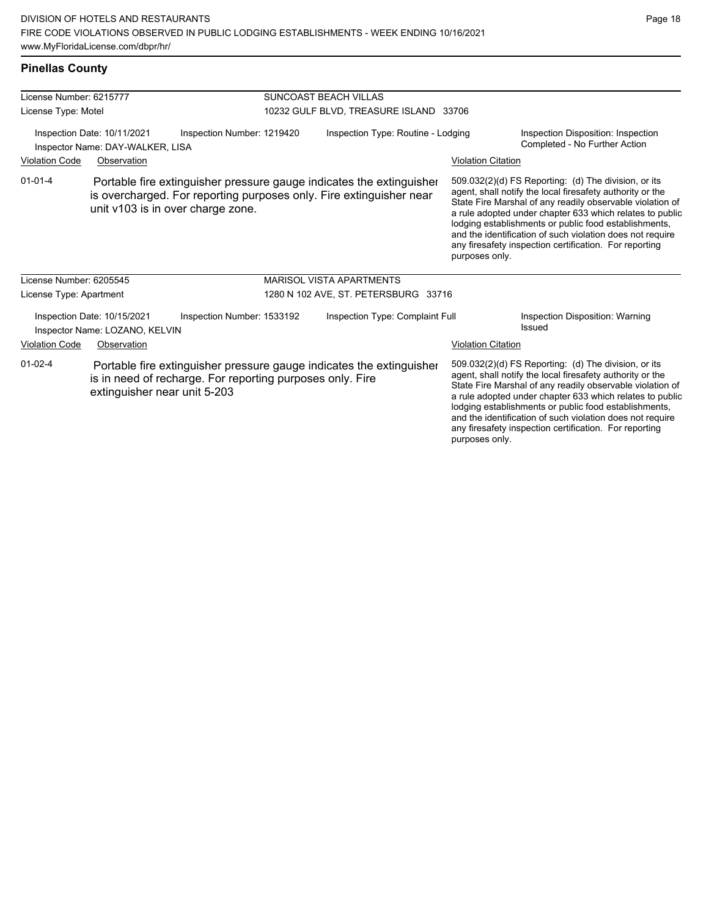## **Pinellas County**

| License Number: 6215777                                                                       |                                                               |                                                           | SUNCOAST BEACH VILLAS              |                                                                                                                                             |                           |                                                                                                                                                                                                                                                                                                                                                                                                                            |  |
|-----------------------------------------------------------------------------------------------|---------------------------------------------------------------|-----------------------------------------------------------|------------------------------------|---------------------------------------------------------------------------------------------------------------------------------------------|---------------------------|----------------------------------------------------------------------------------------------------------------------------------------------------------------------------------------------------------------------------------------------------------------------------------------------------------------------------------------------------------------------------------------------------------------------------|--|
| License Type: Motel                                                                           |                                                               |                                                           |                                    | 10232 GULF BLVD, TREASURE ISLAND 33706                                                                                                      |                           |                                                                                                                                                                                                                                                                                                                                                                                                                            |  |
| Inspection Date: 10/11/2021<br>Inspection Number: 1219420<br>Inspector Name: DAY-WALKER, LISA |                                                               |                                                           | Inspection Type: Routine - Lodging |                                                                                                                                             |                           | Inspection Disposition: Inspection<br>Completed - No Further Action                                                                                                                                                                                                                                                                                                                                                        |  |
| <b>Violation Code</b>                                                                         | Observation                                                   |                                                           |                                    |                                                                                                                                             | <b>Violation Citation</b> |                                                                                                                                                                                                                                                                                                                                                                                                                            |  |
| $01 - 01 - 4$                                                                                 |                                                               | unit v103 is in over charge zone.                         |                                    | Portable fire extinguisher pressure gauge indicates the extinguisher<br>is overcharged. For reporting purposes only. Fire extinguisher near | purposes only.            | 509.032(2)(d) FS Reporting: (d) The division, or its<br>agent, shall notify the local firesafety authority or the<br>State Fire Marshal of any readily observable violation of<br>a rule adopted under chapter 633 which relates to public<br>lodging establishments or public food establishments,<br>and the identification of such violation does not require<br>any firesafety inspection certification. For reporting |  |
| License Number: 6205545                                                                       |                                                               |                                                           |                                    | <b>MARISOL VISTA APARTMENTS</b>                                                                                                             |                           |                                                                                                                                                                                                                                                                                                                                                                                                                            |  |
| License Type: Apartment                                                                       |                                                               |                                                           |                                    | 1280 N 102 AVE, ST. PETERSBURG 33716                                                                                                        |                           |                                                                                                                                                                                                                                                                                                                                                                                                                            |  |
|                                                                                               | Inspection Date: 10/15/2021<br>Inspector Name: LOZANO, KELVIN | Inspection Number: 1533192                                |                                    | Inspection Type: Complaint Full                                                                                                             |                           | Inspection Disposition: Warning<br>Issued                                                                                                                                                                                                                                                                                                                                                                                  |  |
| <b>Violation Code</b>                                                                         | Observation                                                   |                                                           |                                    |                                                                                                                                             | <b>Violation Citation</b> |                                                                                                                                                                                                                                                                                                                                                                                                                            |  |
| $01 - 02 - 4$                                                                                 | extinguisher near unit 5-203                                  | is in need of recharge. For reporting purposes only. Fire |                                    | Portable fire extinguisher pressure gauge indicates the extinguisher                                                                        |                           | 509.032(2)(d) FS Reporting: (d) The division, or its<br>agent, shall notify the local firesafety authority or the<br>State Fire Marshal of any readily observable violation of<br>a rule adopted under chapter 633 which relates to public<br>lodging establishments or public food establishments,<br>and the identification of such violation does not require                                                           |  |

any firesafety inspection certification. For reporting

purposes only.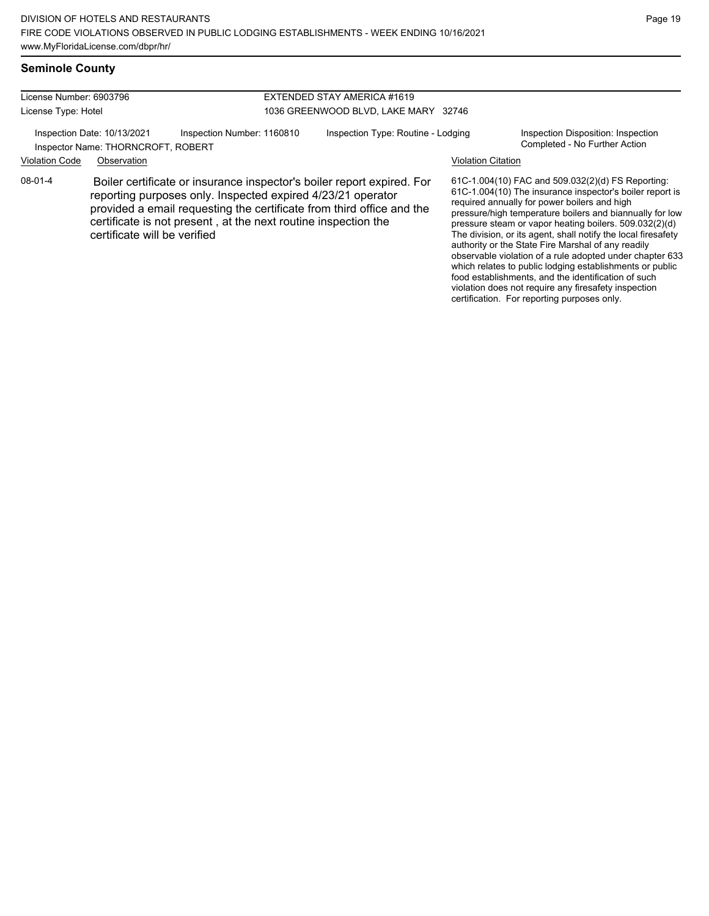### **Seminole County**

| License Number: 6903796<br>License Type: Hotel                    |                              |                                                                                                                                                                                                                                                                                  | EXTENDED STAY AMERICA #1619<br>1036 GREENWOOD BLVD, LAKE MARY 32746 |                           |                                                                                                                                                                                                                                                                                                                                                                                                                                                                        |
|-------------------------------------------------------------------|------------------------------|----------------------------------------------------------------------------------------------------------------------------------------------------------------------------------------------------------------------------------------------------------------------------------|---------------------------------------------------------------------|---------------------------|------------------------------------------------------------------------------------------------------------------------------------------------------------------------------------------------------------------------------------------------------------------------------------------------------------------------------------------------------------------------------------------------------------------------------------------------------------------------|
| Inspection Date: 10/13/2021<br>Inspector Name: THORNCROFT, ROBERT |                              | Inspection Number: 1160810                                                                                                                                                                                                                                                       | Inspection Type: Routine - Lodging                                  |                           | Inspection Disposition: Inspection<br>Completed - No Further Action                                                                                                                                                                                                                                                                                                                                                                                                    |
| <b>Violation Code</b>                                             | Observation                  |                                                                                                                                                                                                                                                                                  |                                                                     | <b>Violation Citation</b> |                                                                                                                                                                                                                                                                                                                                                                                                                                                                        |
| 08-01-4                                                           | certificate will be verified | Boiler certificate or insurance inspector's boiler report expired. For<br>reporting purposes only. Inspected expired 4/23/21 operator<br>provided a email requesting the certificate from third office and the<br>certificate is not present, at the next routine inspection the |                                                                     |                           | 61C-1.004(10) FAC and 509.032(2)(d) FS Reporting:<br>61C-1.004(10) The insurance inspector's boiler report is<br>required annually for power boilers and high<br>pressure/high temperature boilers and biannually for low<br>pressure steam or vapor heating boilers. 509.032(2)(d)<br>The division, or its agent, shall notify the local firesafety<br>authority or the State Fire Marshal of any readily<br>observable violation of a rule adopted under chapter 633 |

Page 19

which relates to public lodging establishments or public food establishments, and the identification of such violation does not require any firesafety inspection certification. For reporting purposes only.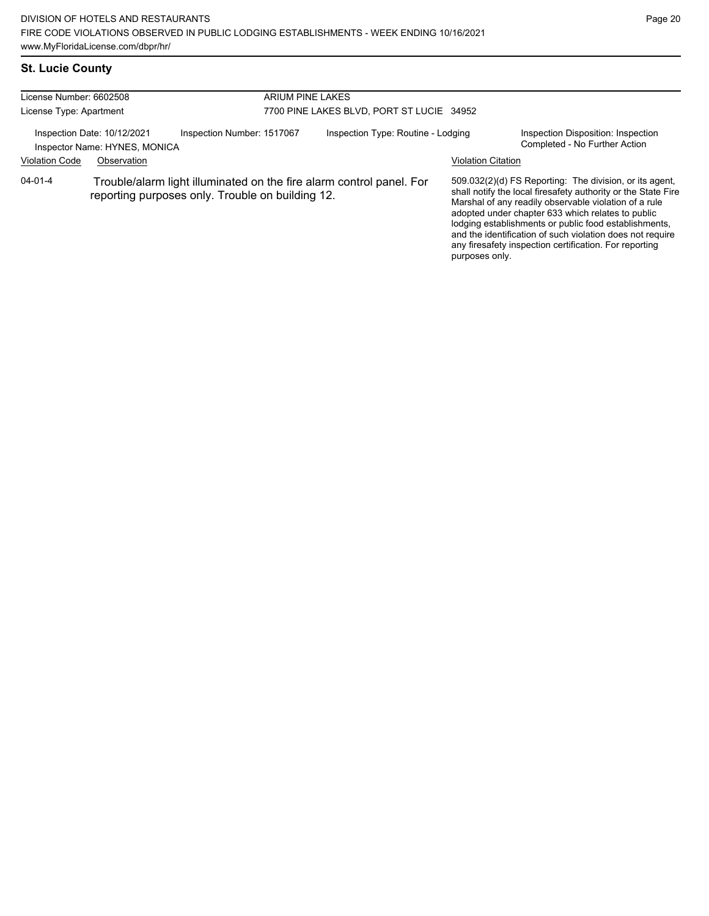# **St. Lucie County**

| License Number: 6602508 |                                                              |                                                  | ARIUM PINE LAKES                                                     |                           |                                                                                                                                                                                                                                                                                                                                                                                                                        |  |  |
|-------------------------|--------------------------------------------------------------|--------------------------------------------------|----------------------------------------------------------------------|---------------------------|------------------------------------------------------------------------------------------------------------------------------------------------------------------------------------------------------------------------------------------------------------------------------------------------------------------------------------------------------------------------------------------------------------------------|--|--|
| License Type: Apartment |                                                              | 7700 PINE LAKES BLVD, PORT ST LUCIE 34952        |                                                                      |                           |                                                                                                                                                                                                                                                                                                                                                                                                                        |  |  |
|                         | Inspection Date: 10/12/2021<br>Inspector Name: HYNES, MONICA | Inspection Number: 1517067                       | Inspection Type: Routine - Lodging                                   |                           | Inspection Disposition: Inspection<br>Completed - No Further Action                                                                                                                                                                                                                                                                                                                                                    |  |  |
| <b>Violation Code</b>   | Observation                                                  |                                                  |                                                                      | <b>Violation Citation</b> |                                                                                                                                                                                                                                                                                                                                                                                                                        |  |  |
| $04 - 01 - 4$           |                                                              | reporting purposes only. Trouble on building 12. | Trouble/alarm light illuminated on the fire alarm control panel. For | purposes only.            | 509.032(2)(d) FS Reporting: The division, or its agent,<br>shall notify the local firesafety authority or the State Fire<br>Marshal of any readily observable violation of a rule<br>adopted under chapter 633 which relates to public<br>lodging establishments or public food establishments,<br>and the identification of such violation does not require<br>any firesafety inspection certification. For reporting |  |  |